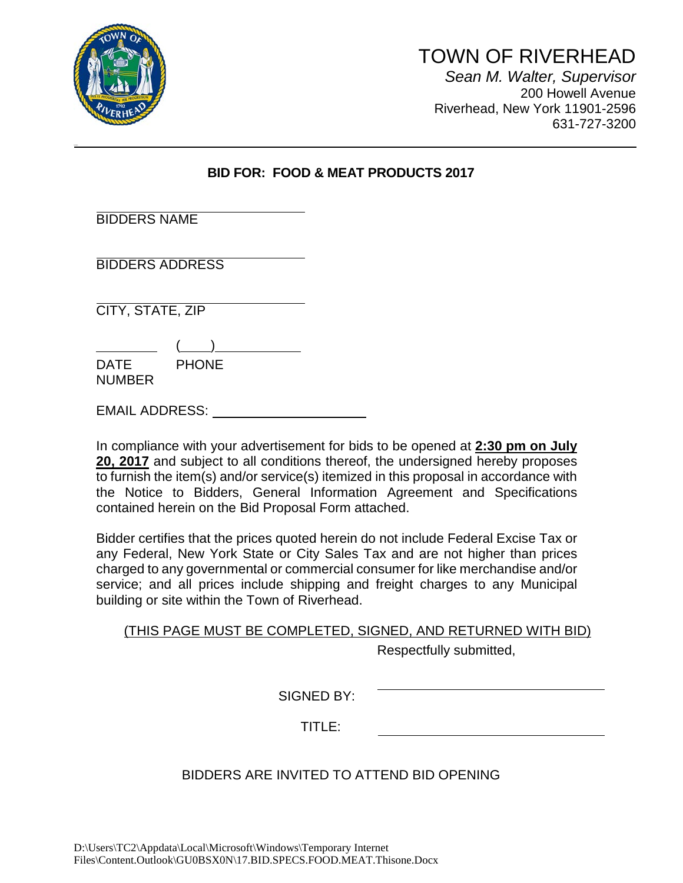

bdi dkbi k

## TOWN OF RIVERHEAD *Sean M. Walter, Supervisor* 200 Howell Avenue Riverhead, New York 11901-2596 631-727-3200

### **BID FOR: FOOD & MEAT PRODUCTS 2017**

| <b>BIDDERS NAME</b> |
|---------------------|
|---------------------|

BIDDERS ADDRESS

CITY, STATE, ZIP

 $($  ) DATE PHONE NUMBER

EMAIL ADDRESS:

In compliance with your advertisement for bids to be opened at **2:30 pm on July 20, 2017** and subject to all conditions thereof, the undersigned hereby proposes to furnish the item(s) and/or service(s) itemized in this proposal in accordance with the Notice to Bidders, General Information Agreement and Specifications contained herein on the Bid Proposal Form attached.

Bidder certifies that the prices quoted herein do not include Federal Excise Tax or any Federal, New York State or City Sales Tax and are not higher than prices charged to any governmental or commercial consumer for like merchandise and/or service; and all prices include shipping and freight charges to any Municipal building or site within the Town of Riverhead.

| (THIS PAGE MUST BE COMPLETED, SIGNED, AND RETURNED WITH BID) |  |  |                         |  |
|--------------------------------------------------------------|--|--|-------------------------|--|
|                                                              |  |  | Respectfully submitted, |  |

SIGNED BY:

TITLE:

# BIDDERS ARE INVITED TO ATTEND BID OPENING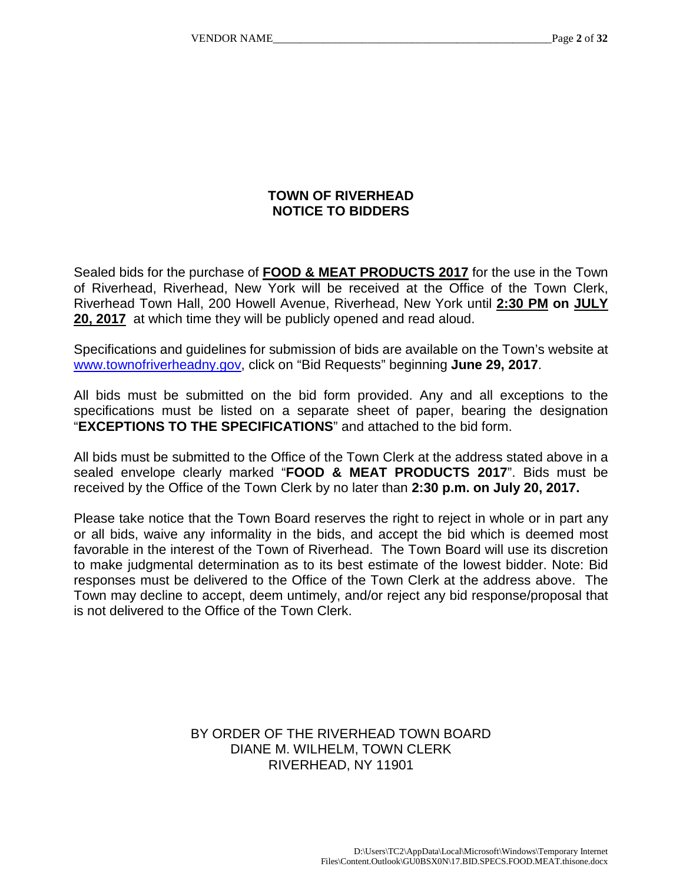### **TOWN OF RIVERHEAD NOTICE TO BIDDERS**

Sealed bids for the purchase of **FOOD & MEAT PRODUCTS 2017** for the use in the Town of Riverhead, Riverhead, New York will be received at the Office of the Town Clerk, Riverhead Town Hall, 200 Howell Avenue, Riverhead, New York until **2:30 PM on JULY 20, 2017** at which time they will be publicly opened and read aloud.

Specifications and guidelines for submission of bids are available on the Town's website at www.townofriverheadny.gov, click on "Bid Requests" beginning **June 29, 2017**.

All bids must be submitted on the bid form provided. Any and all exceptions to the specifications must be listed on a separate sheet of paper, bearing the designation "**EXCEPTIONS TO THE SPECIFICATIONS**" and attached to the bid form.

All bids must be submitted to the Office of the Town Clerk at the address stated above in a sealed envelope clearly marked "**FOOD & MEAT PRODUCTS 2017**". Bids must be received by the Office of the Town Clerk by no later than **2:30 p.m. on July 20, 2017.** 

Please take notice that the Town Board reserves the right to reject in whole or in part any or all bids, waive any informality in the bids, and accept the bid which is deemed most favorable in the interest of the Town of Riverhead. The Town Board will use its discretion to make judgmental determination as to its best estimate of the lowest bidder. Note: Bid responses must be delivered to the Office of the Town Clerk at the address above. The Town may decline to accept, deem untimely, and/or reject any bid response/proposal that is not delivered to the Office of the Town Clerk.

### BY ORDER OF THE RIVERHEAD TOWN BOARD DIANE M. WILHELM, TOWN CLERK RIVERHEAD, NY 11901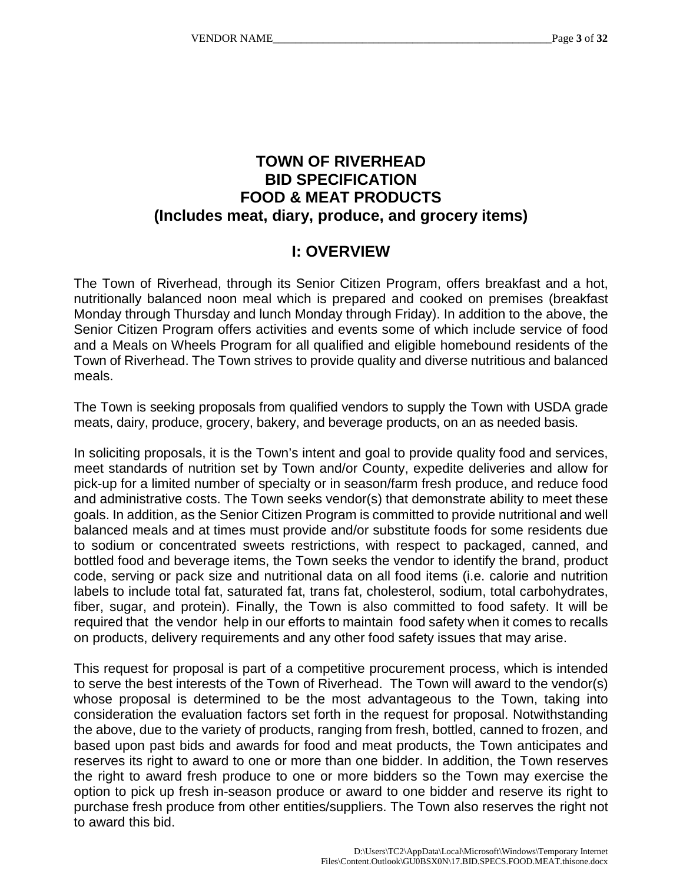# **TOWN OF RIVERHEAD BID SPECIFICATION FOOD & MEAT PRODUCTS (Includes meat, diary, produce, and grocery items)**

# **I: OVERVIEW**

The Town of Riverhead, through its Senior Citizen Program, offers breakfast and a hot, nutritionally balanced noon meal which is prepared and cooked on premises (breakfast Monday through Thursday and lunch Monday through Friday). In addition to the above, the Senior Citizen Program offers activities and events some of which include service of food and a Meals on Wheels Program for all qualified and eligible homebound residents of the Town of Riverhead. The Town strives to provide quality and diverse nutritious and balanced meals.

The Town is seeking proposals from qualified vendors to supply the Town with USDA grade meats, dairy, produce, grocery, bakery, and beverage products, on an as needed basis.

In soliciting proposals, it is the Town's intent and goal to provide quality food and services, meet standards of nutrition set by Town and/or County, expedite deliveries and allow for pick-up for a limited number of specialty or in season/farm fresh produce, and reduce food and administrative costs. The Town seeks vendor(s) that demonstrate ability to meet these goals. In addition, as the Senior Citizen Program is committed to provide nutritional and well balanced meals and at times must provide and/or substitute foods for some residents due to sodium or concentrated sweets restrictions, with respect to packaged, canned, and bottled food and beverage items, the Town seeks the vendor to identify the brand, product code, serving or pack size and nutritional data on all food items (i.e. calorie and nutrition labels to include total fat, saturated fat, trans fat, cholesterol, sodium, total carbohydrates, fiber, sugar, and protein). Finally, the Town is also committed to food safety. It will be required that the vendor help in our efforts to maintain food safety when it comes to recalls on products, delivery requirements and any other food safety issues that may arise.

This request for proposal is part of a competitive procurement process, which is intended to serve the best interests of the Town of Riverhead. The Town will award to the vendor(s) whose proposal is determined to be the most advantageous to the Town, taking into consideration the evaluation factors set forth in the request for proposal. Notwithstanding the above, due to the variety of products, ranging from fresh, bottled, canned to frozen, and based upon past bids and awards for food and meat products, the Town anticipates and reserves its right to award to one or more than one bidder. In addition, the Town reserves the right to award fresh produce to one or more bidders so the Town may exercise the option to pick up fresh in-season produce or award to one bidder and reserve its right to purchase fresh produce from other entities/suppliers. The Town also reserves the right not to award this bid.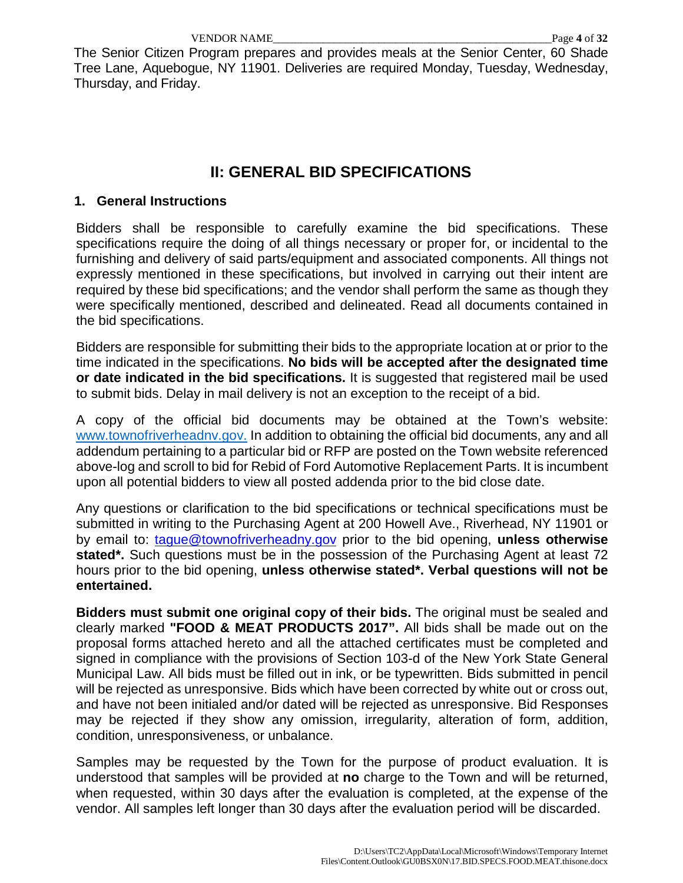The Senior Citizen Program prepares and provides meals at the Senior Center, 60 Shade Tree Lane, Aquebogue, NY 11901. Deliveries are required Monday, Tuesday, Wednesday, Thursday, and Friday.

# **II: GENERAL BID SPECIFICATIONS**

#### **1. General Instructions**

Bidders shall be responsible to carefully examine the bid specifications. These specifications require the doing of all things necessary or proper for, or incidental to the furnishing and delivery of said parts/equipment and associated components. All things not expressly mentioned in these specifications, but involved in carrying out their intent are required by these bid specifications; and the vendor shall perform the same as though they were specifically mentioned, described and delineated. Read all documents contained in the bid specifications.

Bidders are responsible for submitting their bids to the appropriate location at or prior to the time indicated in the specifications. **No bids will be accepted after the designated time or date indicated in the bid specifications.** It is suggested that registered mail be used to submit bids. Delay in mail delivery is not an exception to the receipt of a bid.

A copy of the official bid documents may be obtained at the Town's website: [www.townofriverheadnv.gov.](http://www.townofriverheadnv.gov/) In addition to obtaining the official bid documents, any and all addendum pertaining to a particular bid or RFP are posted on the Town website referenced above-log and scroll to bid for Rebid of Ford Automotive Replacement Parts. It is incumbent upon all potential bidders to view all posted addenda prior to the bid close date.

Any questions or clarification to the bid specifications or technical specifications must be submitted in writing to the Purchasing Agent at 200 Howell Ave., Riverhead, NY 11901 or by email to: [tague@townofriverheadny.gov](mailto:tague@townofriverheadny.gov) prior to the bid opening, **unless otherwise stated\*.** Such questions must be in the possession of the Purchasing Agent at least 72 hours prior to the bid opening, **unless otherwise stated\*. Verbal questions will not be entertained.** 

**Bidders must submit one original copy of their bids.** The original must be sealed and clearly marked **"FOOD & MEAT PRODUCTS 2017".** All bids shall be made out on the proposal forms attached hereto and all the attached certificates must be completed and signed in compliance with the provisions of Section 103-d of the New York State General Municipal Law. All bids must be filled out in ink, or be typewritten. Bids submitted in pencil will be rejected as unresponsive. Bids which have been corrected by white out or cross out, and have not been initialed and/or dated will be rejected as unresponsive. Bid Responses may be rejected if they show any omission, irregularity, alteration of form, addition, condition, unresponsiveness, or unbalance.

Samples may be requested by the Town for the purpose of product evaluation. It is understood that samples will be provided at **no** charge to the Town and will be returned, when requested, within 30 days after the evaluation is completed, at the expense of the vendor. All samples left longer than 30 days after the evaluation period will be discarded.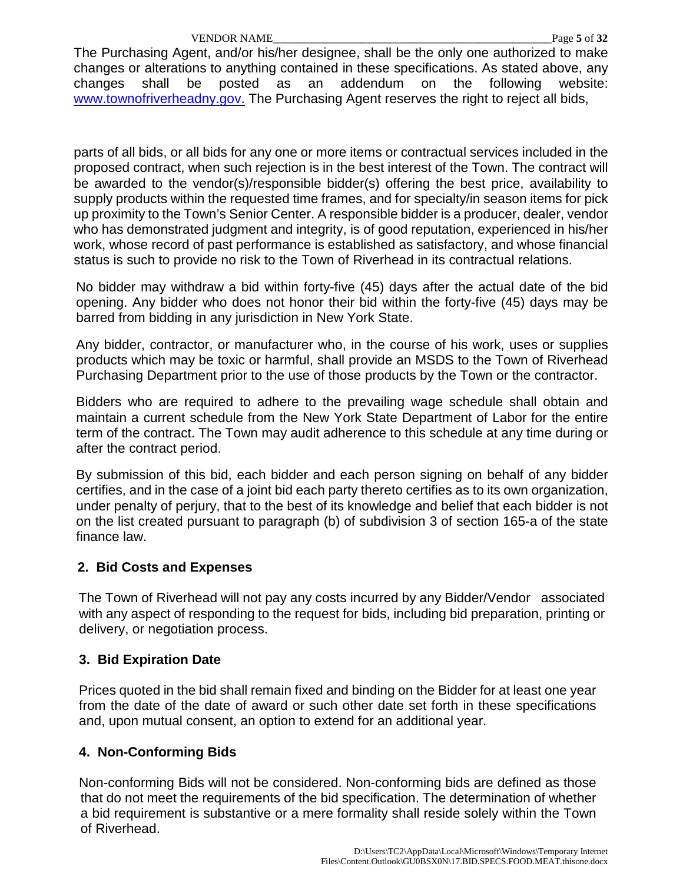The Purchasing Agent, and/or his/her designee, shall be the only one authorized to make changes or alterations to anything contained in these specifications. As stated above, any changes shall be posted as an addendum on the following website: [www.townofriverheadny.gov.](http://www.townofriverheadny.gov/) The Purchasing Agent reserves the right to reject all bids,

parts of all bids, or all bids for any one or more items or contractual services included in the proposed contract, when such rejection is in the best interest of the Town. The contract will be awarded to the vendor(s)/responsible bidder(s) offering the best price, availability to supply products within the requested time frames, and for specialty/in season items for pick up proximity to the Town's Senior Center. A responsible bidder is a producer, dealer, vendor who has demonstrated judgment and integrity, is of good reputation, experienced in his/her work, whose record of past performance is established as satisfactory, and whose financial status is such to provide no risk to the Town of Riverhead in its contractual relations.

No bidder may withdraw a bid within forty-five (45) days after the actual date of the bid opening. Any bidder who does not honor their bid within the forty-five (45) days may be barred from bidding in any jurisdiction in New York State.

Any bidder, contractor, or manufacturer who, in the course of his work, uses or supplies products which may be toxic or harmful, shall provide an MSDS to the Town of Riverhead Purchasing Department prior to the use of those products by the Town or the contractor.

Bidders who are required to adhere to the prevailing wage schedule shall obtain and maintain a current schedule from the New York State Department of Labor for the entire term of the contract. The Town may audit adherence to this schedule at any time during or after the contract period.

By submission of this bid, each bidder and each person signing on behalf of any bidder certifies, and in the case of a joint bid each party thereto certifies as to its own organization, under penalty of perjury, that to the best of its knowledge and belief that each bidder is not on the list created pursuant to paragraph (b) of subdivision 3 of section 165-a of the state finance law.

### **2. Bid Costs and Expenses**

 The Town of Riverhead will not pay any costs incurred by any Bidder/Vendor associated with any aspect of responding to the request for bids, including bid preparation, printing or delivery, or negotiation process.

### **3. Bid Expiration Date**

Prices quoted in the bid shall remain fixed and binding on the Bidder for at least one year from the date of the date of award or such other date set forth in these specifications and, upon mutual consent, an option to extend for an additional year.

### **4. Non-Conforming Bids**

Non-conforming Bids will not be considered. Non-conforming bids are defined as those that do not meet the requirements of the bid specification. The determination of whether a bid requirement is substantive or a mere formality shall reside solely within the Town of Riverhead.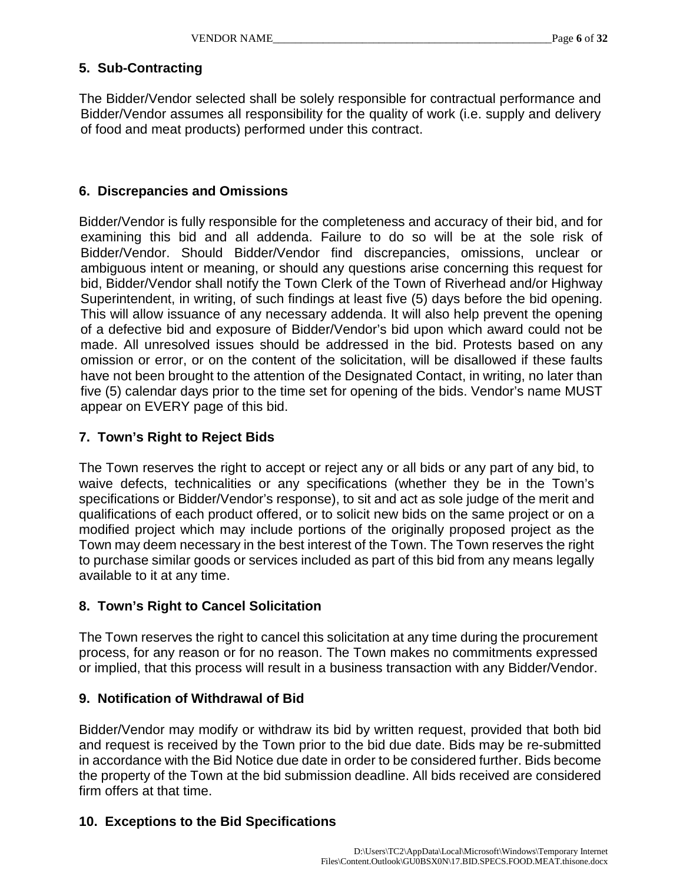### **5. Sub-Contracting**

The Bidder/Vendor selected shall be solely responsible for contractual performance and Bidder/Vendor assumes all responsibility for the quality of work (i.e. supply and delivery of food and meat products) performed under this contract.

### **6. Discrepancies and Omissions**

Bidder/Vendor is fully responsible for the completeness and accuracy of their bid, and for examining this bid and all addenda. Failure to do so will be at the sole risk of Bidder/Vendor. Should Bidder/Vendor find discrepancies, omissions, unclear or ambiguous intent or meaning, or should any questions arise concerning this request for bid, Bidder/Vendor shall notify the Town Clerk of the Town of Riverhead and/or Highway Superintendent, in writing, of such findings at least five (5) days before the bid opening. This will allow issuance of any necessary addenda. It will also help prevent the opening of a defective bid and exposure of Bidder/Vendor's bid upon which award could not be made. All unresolved issues should be addressed in the bid. Protests based on any omission or error, or on the content of the solicitation, will be disallowed if these faults have not been brought to the attention of the Designated Contact, in writing, no later than five (5) calendar days prior to the time set for opening of the bids. Vendor's name MUST appear on EVERY page of this bid.

### **7. Town's Right to Reject Bids**

The Town reserves the right to accept or reject any or all bids or any part of any bid, to waive defects, technicalities or any specifications (whether they be in the Town's specifications or Bidder/Vendor's response), to sit and act as sole judge of the merit and qualifications of each product offered, or to solicit new bids on the same project or on a modified project which may include portions of the originally proposed project as the Town may deem necessary in the best interest of the Town. The Town reserves the right to purchase similar goods or services included as part of this bid from any means legally available to it at any time.

### **8. Town's Right to Cancel Solicitation**

The Town reserves the right to cancel this solicitation at any time during the procurement process, for any reason or for no reason. The Town makes no commitments expressed or implied, that this process will result in a business transaction with any Bidder/Vendor.

### **9. Notification of Withdrawal of Bid**

Bidder/Vendor may modify or withdraw its bid by written request, provided that both bid and request is received by the Town prior to the bid due date. Bids may be re-submitted in accordance with the Bid Notice due date in order to be considered further. Bids become the property of the Town at the bid submission deadline. All bids received are considered firm offers at that time.

### **10. Exceptions to the Bid Specifications**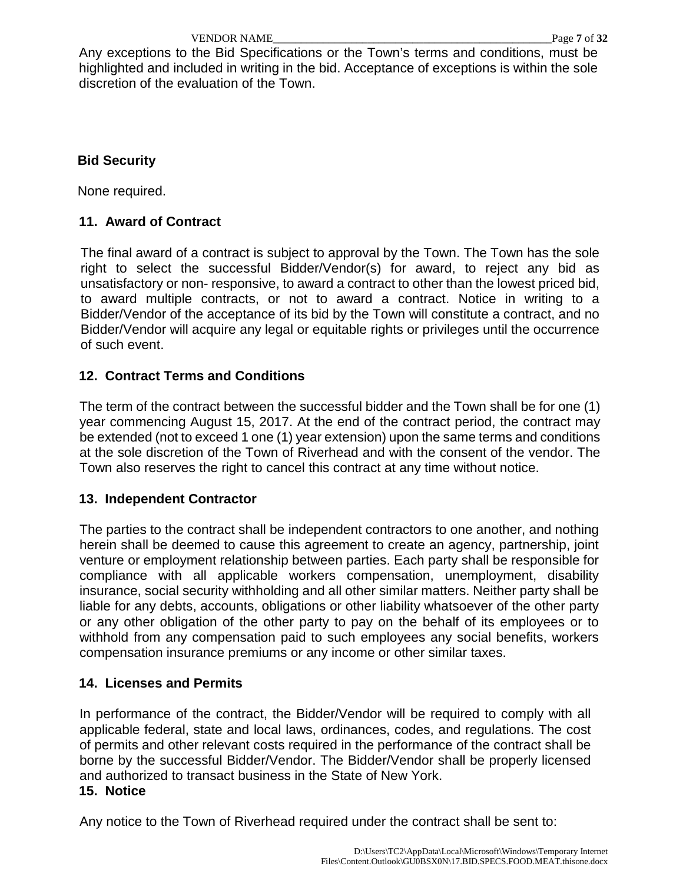Any exceptions to the Bid Specifications or the Town's terms and conditions, must be highlighted and included in writing in the bid. Acceptance of exceptions is within the sole discretion of the evaluation of the Town.

### **Bid Security**

None required.

### **11. Award of Contract**

The final award of a contract is subject to approval by the Town. The Town has the sole right to select the successful Bidder/Vendor(s) for award, to reject any bid as unsatisfactory or non- responsive, to award a contract to other than the lowest priced bid, to award multiple contracts, or not to award a contract. Notice in writing to a Bidder/Vendor of the acceptance of its bid by the Town will constitute a contract, and no Bidder/Vendor will acquire any legal or equitable rights or privileges until the occurrence of such event.

### **12. Contract Terms and Conditions**

The term of the contract between the successful bidder and the Town shall be for one (1) year commencing August 15, 2017. At the end of the contract period, the contract may be extended (not to exceed 1 one (1) year extension) upon the same terms and conditions at the sole discretion of the Town of Riverhead and with the consent of the vendor. The Town also reserves the right to cancel this contract at any time without notice.

### **13. Independent Contractor**

The parties to the contract shall be independent contractors to one another, and nothing herein shall be deemed to cause this agreement to create an agency, partnership, joint venture or employment relationship between parties. Each party shall be responsible for compliance with all applicable workers compensation, unemployment, disability insurance, social security withholding and all other similar matters. Neither party shall be liable for any debts, accounts, obligations or other liability whatsoever of the other party or any other obligation of the other party to pay on the behalf of its employees or to withhold from any compensation paid to such employees any social benefits, workers compensation insurance premiums or any income or other similar taxes.

### **14. Licenses and Permits**

In performance of the contract, the Bidder/Vendor will be required to comply with all applicable federal, state and local laws, ordinances, codes, and regulations. The cost of permits and other relevant costs required in the performance of the contract shall be borne by the successful Bidder/Vendor. The Bidder/Vendor shall be properly licensed and authorized to transact business in the State of New York.

### **15. Notice**

Any notice to the Town of Riverhead required under the contract shall be sent to: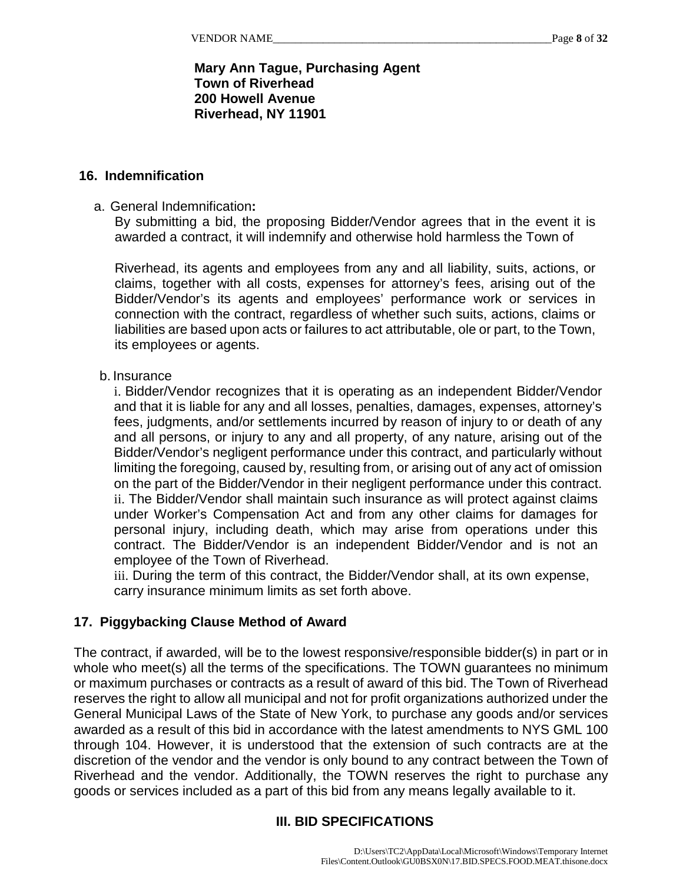### **Mary Ann Tague, Purchasing Agent Town of Riverhead 200 Howell Avenue Riverhead, NY 11901**

#### **16. Indemnification**

#### a. General Indemnification**:**

By submitting a bid, the proposing Bidder/Vendor agrees that in the event it is awarded a contract, it will indemnify and otherwise hold harmless the Town of

Riverhead, its agents and employees from any and all liability, suits, actions, or claims, together with all costs, expenses for attorney's fees, arising out of the Bidder/Vendor's its agents and employees' performance work or services in connection with the contract, regardless of whether such suits, actions, claims or liabilities are based upon acts or failures to act attributable, ole or part, to the Town, its employees or agents.

#### b. Insurance

i. Bidder/Vendor recognizes that it is operating as an independent Bidder/Vendor and that it is liable for any and all losses, penalties, damages, expenses, attorney's fees, judgments, and/or settlements incurred by reason of injury to or death of any and all persons, or injury to any and all property, of any nature, arising out of the Bidder/Vendor's negligent performance under this contract, and particularly without limiting the foregoing, caused by, resulting from, or arising out of any act of omission on the part of the Bidder/Vendor in their negligent performance under this contract. ii. The Bidder/Vendor shall maintain such insurance as will protect against claims under Worker's Compensation Act and from any other claims for damages for personal injury, including death, which may arise from operations under this contract. The Bidder/Vendor is an independent Bidder/Vendor and is not an employee of the Town of Riverhead.

iii. During the term of this contract, the Bidder/Vendor shall, at its own expense, carry insurance minimum limits as set forth above.

#### **17. Piggybacking Clause Method of Award**

The contract, if awarded, will be to the lowest responsive/responsible bidder(s) in part or in whole who meet(s) all the terms of the specifications. The TOWN guarantees no minimum or maximum purchases or contracts as a result of award of this bid. The Town of Riverhead reserves the right to allow all municipal and not for profit organizations authorized under the General Municipal Laws of the State of New York, to purchase any goods and/or services awarded as a result of this bid in accordance with the latest amendments to NYS GML 100 through 104. However, it is understood that the extension of such contracts are at the discretion of the vendor and the vendor is only bound to any contract between the Town of Riverhead and the vendor. Additionally, the TOWN reserves the right to purchase any goods or services included as a part of this bid from any means legally available to it.

### **III. BID SPECIFICATIONS**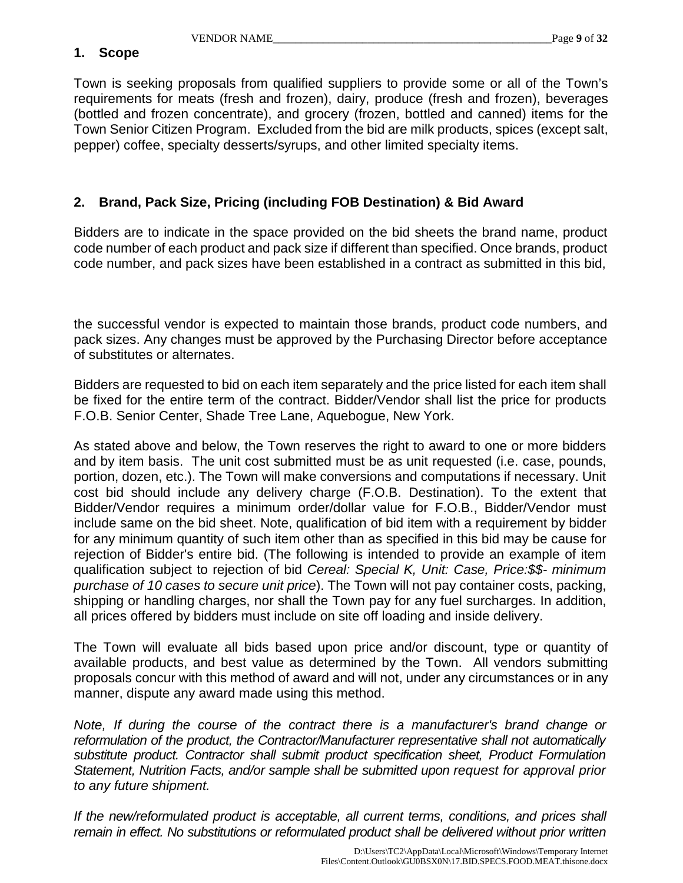#### **1. Scope**

Town is seeking proposals from qualified suppliers to provide some or all of the Town's requirements for meats (fresh and frozen), dairy, produce (fresh and frozen), beverages (bottled and frozen concentrate), and grocery (frozen, bottled and canned) items for the Town Senior Citizen Program. Excluded from the bid are milk products, spices (except salt, pepper) coffee, specialty desserts/syrups, and other limited specialty items.

### **2. Brand, Pack Size, Pricing (including FOB Destination) & Bid Award**

Bidders are to indicate in the space provided on the bid sheets the brand name, product code number of each product and pack size if different than specified. Once brands, product code number, and pack sizes have been established in a contract as submitted in this bid,

the successful vendor is expected to maintain those brands, product code numbers, and pack sizes. Any changes must be approved by the Purchasing Director before acceptance of substitutes or alternates.

Bidders are requested to bid on each item separately and the price listed for each item shall be fixed for the entire term of the contract. Bidder/Vendor shall list the price for products F.O.B. Senior Center, Shade Tree Lane, Aquebogue, New York.

As stated above and below, the Town reserves the right to award to one or more bidders and by item basis. The unit cost submitted must be as unit requested (i.e. case, pounds, portion, dozen, etc.). The Town will make conversions and computations if necessary. Unit cost bid should include any delivery charge (F.O.B. Destination). To the extent that Bidder/Vendor requires a minimum order/dollar value for F.O.B., Bidder/Vendor must include same on the bid sheet. Note, qualification of bid item with a requirement by bidder for any minimum quantity of such item other than as specified in this bid may be cause for rejection of Bidder's entire bid. (The following is intended to provide an example of item qualification subject to rejection of bid *Cereal: Special K, Unit: Case, Price:\$\$- minimum purchase of 10 cases to secure unit price*). The Town will not pay container costs, packing, shipping or handling charges, nor shall the Town pay for any fuel surcharges. In addition, all prices offered by bidders must include on site off loading and inside delivery.

The Town will evaluate all bids based upon price and/or discount, type or quantity of available products, and best value as determined by the Town. All vendors submitting proposals concur with this method of award and will not, under any circumstances or in any manner, dispute any award made using this method.

*Note, If during the course of the contract there is a manufacturer's brand change or reformulation of the product, the Contractor/Manufacturer representative shall not automatically substitute product. Contractor shall submit product specification sheet, Product Formulation Statement, Nutrition Facts, and/or sample shall be submitted upon request for approval prior to any future shipment.*

*If the new/reformulated product is acceptable, all current terms, conditions, and prices shall remain in effect. No substitutions or reformulated product shall be delivered without prior written*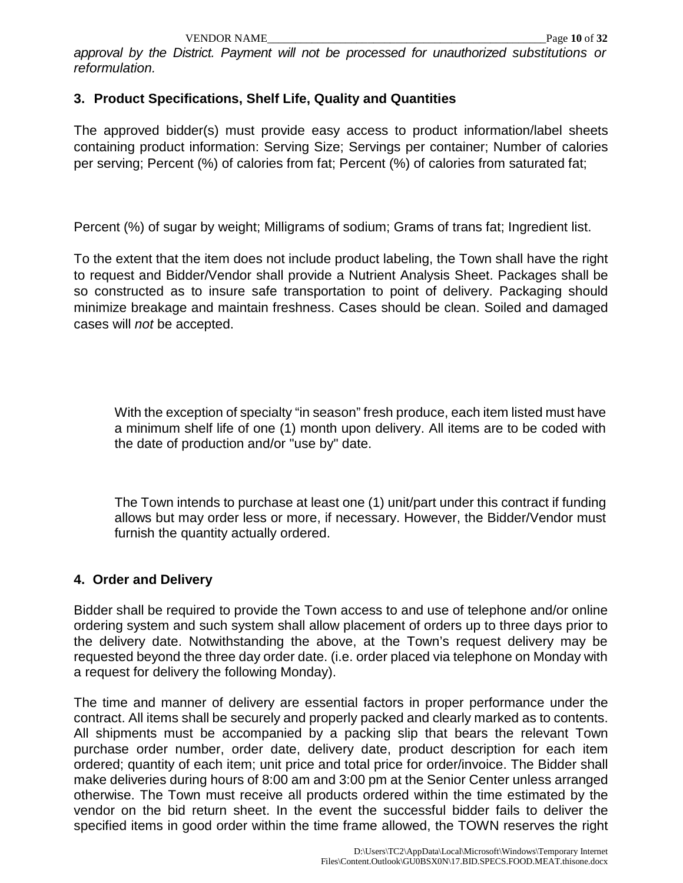*approval by the District. Payment will not be processed for unauthorized substitutions or reformulation.*

### **3. Product Specifications, Shelf Life, Quality and Quantities**

The approved bidder(s) must provide easy access to product information/label sheets containing product information: Serving Size; Servings per container; Number of calories per serving; Percent (%) of calories from fat; Percent (%) of calories from saturated fat;

Percent (%) of sugar by weight; Milligrams of sodium; Grams of trans fat; Ingredient list.

To the extent that the item does not include product labeling, the Town shall have the right to request and Bidder/Vendor shall provide a Nutrient Analysis Sheet. Packages shall be so constructed as to insure safe transportation to point of delivery. Packaging should minimize breakage and maintain freshness. Cases should be clean. Soiled and damaged cases will *not* be accepted.

With the exception of specialty "in season" fresh produce, each item listed must have a minimum shelf life of one (1) month upon delivery. All items are to be coded with the date of production and/or "use by" date.

The Town intends to purchase at least one (1) unit/part under this contract if funding allows but may order less or more, if necessary. However, the Bidder/Vendor must furnish the quantity actually ordered.

### **4. Order and Delivery**

Bidder shall be required to provide the Town access to and use of telephone and/or online ordering system and such system shall allow placement of orders up to three days prior to the delivery date. Notwithstanding the above, at the Town's request delivery may be requested beyond the three day order date. (i.e. order placed via telephone on Monday with a request for delivery the following Monday).

The time and manner of delivery are essential factors in proper performance under the contract. All items shall be securely and properly packed and clearly marked as to contents. All shipments must be accompanied by a packing slip that bears the relevant Town purchase order number, order date, delivery date, product description for each item ordered; quantity of each item; unit price and total price for order/invoice. The Bidder shall make deliveries during hours of 8:00 am and 3:00 pm at the Senior Center unless arranged otherwise. The Town must receive all products ordered within the time estimated by the vendor on the bid return sheet. In the event the successful bidder fails to deliver the specified items in good order within the time frame allowed, the TOWN reserves the right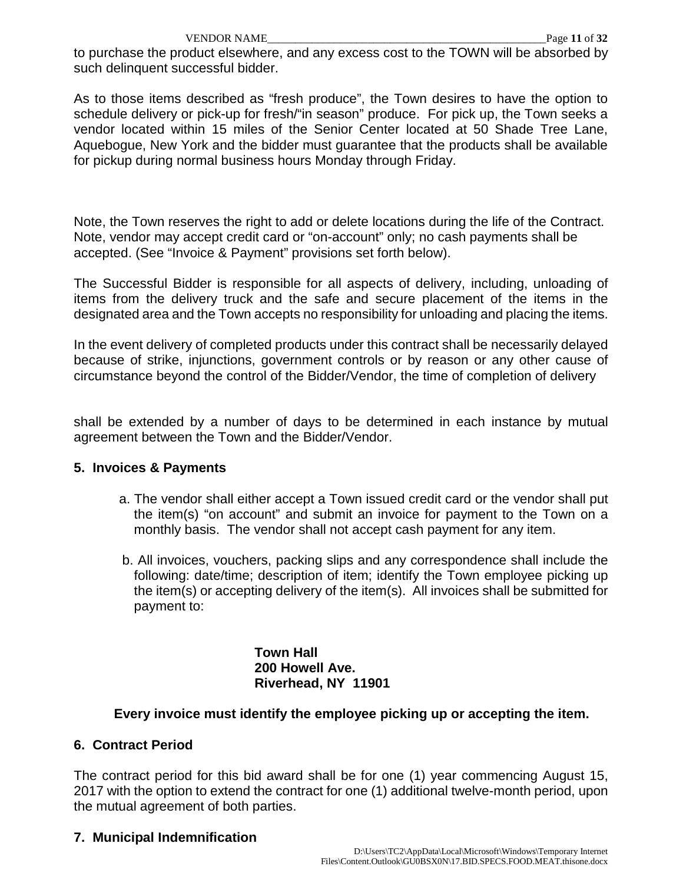to purchase the product elsewhere, and any excess cost to the TOWN will be absorbed by such delinquent successful bidder.

As to those items described as "fresh produce", the Town desires to have the option to schedule delivery or pick-up for fresh/"in season" produce. For pick up, the Town seeks a vendor located within 15 miles of the Senior Center located at 50 Shade Tree Lane, Aquebogue, New York and the bidder must guarantee that the products shall be available for pickup during normal business hours Monday through Friday.

Note, the Town reserves the right to add or delete locations during the life of the Contract. Note, vendor may accept credit card or "on-account" only; no cash payments shall be accepted. (See "Invoice & Payment" provisions set forth below).

The Successful Bidder is responsible for all aspects of delivery, including, unloading of items from the delivery truck and the safe and secure placement of the items in the designated area and the Town accepts no responsibility for unloading and placing the items.

In the event delivery of completed products under this contract shall be necessarily delayed because of strike, injunctions, government controls or by reason or any other cause of circumstance beyond the control of the Bidder/Vendor, the time of completion of delivery

shall be extended by a number of days to be determined in each instance by mutual agreement between the Town and the Bidder/Vendor.

### **5. Invoices & Payments**

- a. The vendor shall either accept a Town issued credit card or the vendor shall put the item(s) "on account" and submit an invoice for payment to the Town on a monthly basis. The vendor shall not accept cash payment for any item.
- b. All invoices, vouchers, packing slips and any correspondence shall include the following: date/time; description of item; identify the Town employee picking up the item(s) or accepting delivery of the item(s). All invoices shall be submitted for payment to:

**Town Hall 200 Howell Ave. Riverhead, NY 11901**

### **Every invoice must identify the employee picking up or accepting the item.**

### **6. Contract Period**

The contract period for this bid award shall be for one (1) year commencing August 15, 2017 with the option to extend the contract for one (1) additional twelve-month period, upon the mutual agreement of both parties.

### **7. Municipal Indemnification**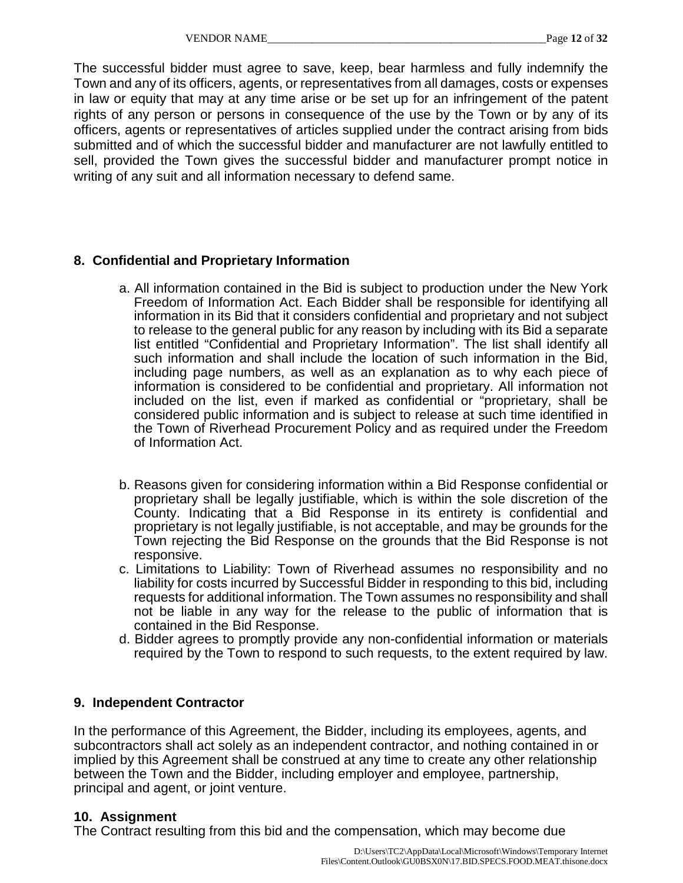The successful bidder must agree to save, keep, bear harmless and fully indemnify the Town and any of its officers, agents, or representatives from all damages, costs or expenses in law or equity that may at any time arise or be set up for an infringement of the patent rights of any person or persons in consequence of the use by the Town or by any of its officers, agents or representatives of articles supplied under the contract arising from bids submitted and of which the successful bidder and manufacturer are not lawfully entitled to sell, provided the Town gives the successful bidder and manufacturer prompt notice in writing of any suit and all information necessary to defend same.

### **8. Confidential and Proprietary Information**

- a. All information contained in the Bid is subject to production under the New York Freedom of Information Act. Each Bidder shall be responsible for identifying all information in its Bid that it considers confidential and proprietary and not subject to release to the general public for any reason by including with its Bid a separate list entitled "Confidential and Proprietary Information". The list shall identify all such information and shall include the location of such information in the Bid, including page numbers, as well as an explanation as to why each piece of information is considered to be confidential and proprietary. All information not included on the list, even if marked as confidential or "proprietary, shall be considered public information and is subject to release at such time identified in the Town of Riverhead Procurement Policy and as required under the Freedom of Information Act.
- b. Reasons given for considering information within a Bid Response confidential or proprietary shall be legally justifiable, which is within the sole discretion of the County. Indicating that a Bid Response in its entirety is confidential and proprietary is not legally justifiable, is not acceptable, and may be grounds for the Town rejecting the Bid Response on the grounds that the Bid Response is not responsive.
- c. Limitations to Liability: Town of Riverhead assumes no responsibility and no liability for costs incurred by Successful Bidder in responding to this bid, including requests for additional information. The Town assumes no responsibility and shall not be liable in any way for the release to the public of information that is contained in the Bid Response.
- d. Bidder agrees to promptly provide any non-confidential information or materials required by the Town to respond to such requests, to the extent required by law.

### **9. Independent Contractor**

In the performance of this Agreement, the Bidder, including its employees, agents, and subcontractors shall act solely as an independent contractor, and nothing contained in or implied by this Agreement shall be construed at any time to create any other relationship between the Town and the Bidder, including employer and employee, partnership, principal and agent, or joint venture.

#### **10. Assignment**

The Contract resulting from this bid and the compensation, which may become due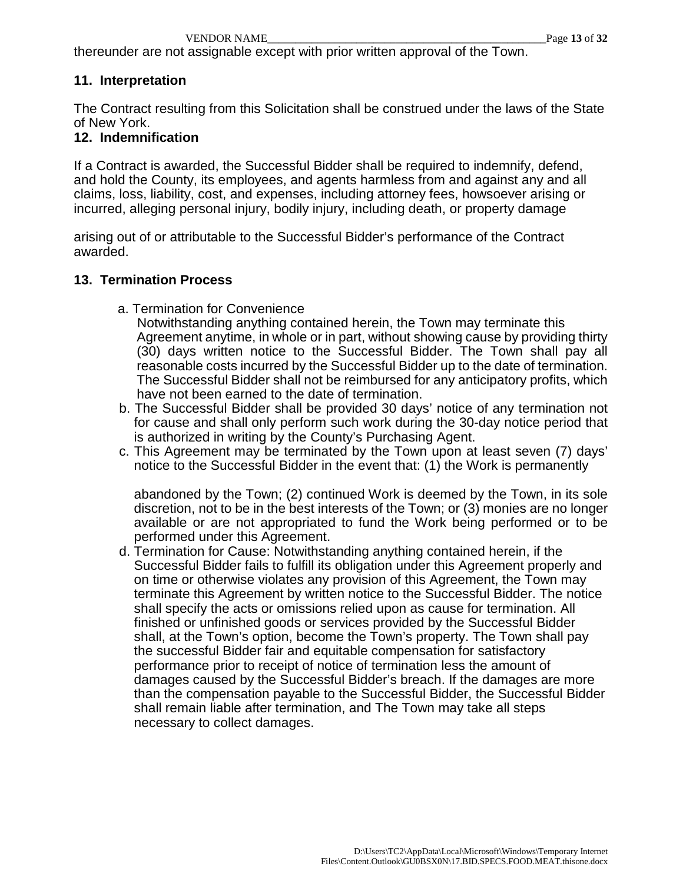thereunder are not assignable except with prior written approval of the Town.

#### **11. Interpretation**

The Contract resulting from this Solicitation shall be construed under the laws of the State of New York.

#### **12. Indemnification**

If a Contract is awarded, the Successful Bidder shall be required to indemnify, defend, and hold the County, its employees, and agents harmless from and against any and all claims, loss, liability, cost, and expenses, including attorney fees, howsoever arising or incurred, alleging personal injury, bodily injury, including death, or property damage

arising out of or attributable to the Successful Bidder's performance of the Contract awarded.

#### **13. Termination Process**

- a. Termination for Convenience
	- Notwithstanding anything contained herein, the Town may terminate this Agreement anytime, in whole or in part, without showing cause by providing thirty (30) days written notice to the Successful Bidder. The Town shall pay all reasonable costs incurred by the Successful Bidder up to the date of termination. The Successful Bidder shall not be reimbursed for any anticipatory profits, which have not been earned to the date of termination.
- b. The Successful Bidder shall be provided 30 days' notice of any termination not for cause and shall only perform such work during the 30-day notice period that is authorized in writing by the County's Purchasing Agent.
- c. This Agreement may be terminated by the Town upon at least seven (7) days' notice to the Successful Bidder in the event that: (1) the Work is permanently

abandoned by the Town; (2) continued Work is deemed by the Town, in its sole discretion, not to be in the best interests of the Town; or (3) monies are no longer available or are not appropriated to fund the Work being performed or to be performed under this Agreement.

d. Termination for Cause: Notwithstanding anything contained herein, if the Successful Bidder fails to fulfill its obligation under this Agreement properly and on time or otherwise violates any provision of this Agreement, the Town may terminate this Agreement by written notice to the Successful Bidder. The notice shall specify the acts or omissions relied upon as cause for termination. All finished or unfinished goods or services provided by the Successful Bidder shall, at the Town's option, become the Town's property. The Town shall pay the successful Bidder fair and equitable compensation for satisfactory performance prior to receipt of notice of termination less the amount of damages caused by the Successful Bidder's breach. If the damages are more than the compensation payable to the Successful Bidder, the Successful Bidder shall remain liable after termination, and The Town may take all steps necessary to collect damages.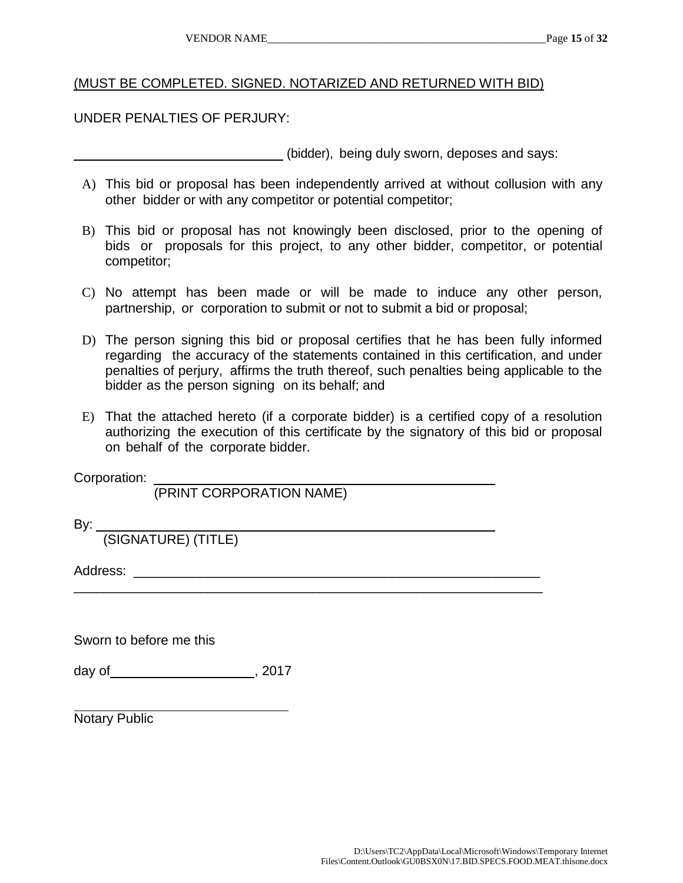### (MUST BE COMPLETED. SIGNED. NOTARIZED AND RETURNED WITH BID)

#### UNDER PENALTIES OF PERJURY:

(bidder), being duly sworn, deposes and says:

- A) This bid or proposal has been independently arrived at without collusion with any other bidder or with any competitor or potential competitor;
- B) This bid or proposal has not knowingly been disclosed, prior to the opening of bids or proposals for this project, to any other bidder, competitor, or potential competitor;
- C) No attempt has been made or will be made to induce any other person, partnership, or corporation to submit or not to submit a bid or proposal;
- D) The person signing this bid or proposal certifies that he has been fully informed regarding the accuracy of the statements contained in this certification, and under penalties of perjury, affirms the truth thereof, such penalties being applicable to the bidder as the person signing on its behalf; and
- E) That the attached hereto (if a corporate bidder) is a certified copy of a resolution authorizing the execution of this certificate by the signatory of this bid or proposal on behalf of the corporate bidder.

\_\_\_\_\_\_\_\_\_\_\_\_\_\_\_\_\_\_\_\_\_\_\_\_\_\_\_\_\_\_\_\_\_\_\_\_\_\_\_\_\_\_\_\_\_\_\_\_\_\_\_\_\_\_\_\_\_\_\_\_\_\_\_

Corporation:

(PRINT CORPORATION NAME)

By:  $\overline{\phantom{a}}$ 

(SIGNATURE) (TITLE)

Address:

Sworn to before me this

day of 3017

Notary Public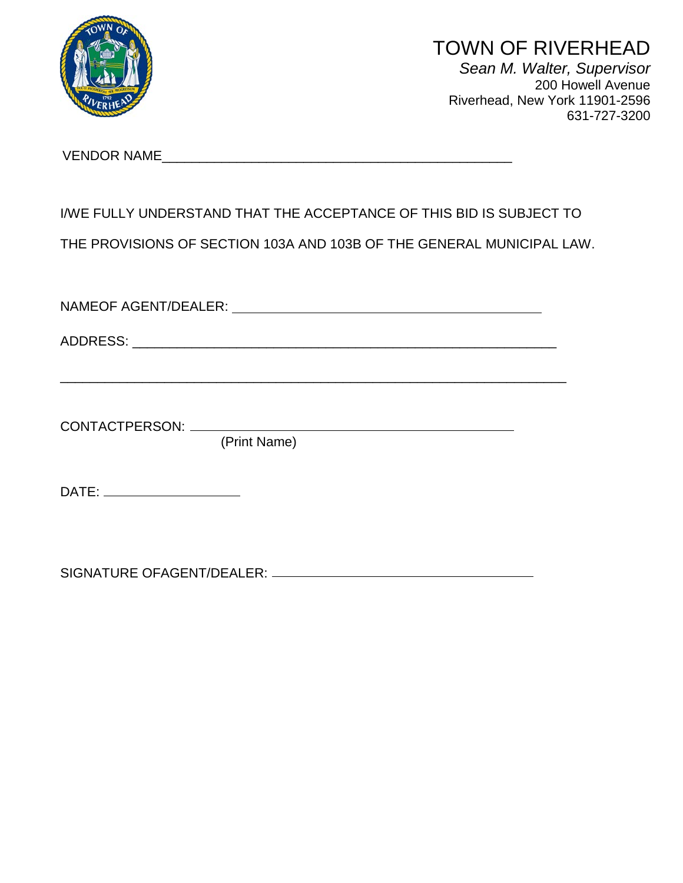

# TOWN OF RIVERHEAD

*Sean M. Walter, Supervisor* 200 Howell Avenue Riverhead, New York 11901-2596 631-727-3200

VENDOR NAME\_\_\_\_\_\_\_\_\_\_\_\_\_\_\_\_\_\_\_\_\_\_\_\_\_\_\_\_\_\_\_\_\_\_\_\_\_\_\_\_\_\_\_\_\_\_\_

# I/WE FULLY UNDERSTAND THAT THE ACCEPTANCE OF THIS BID IS SUBJECT TO

THE PROVISIONS OF SECTION 103A AND 103B OF THE GENERAL MUNICIPAL LAW.

NAMEOF AGENT/DEALER:

\_\_\_\_\_\_\_\_\_\_\_\_\_\_\_\_\_\_\_\_\_\_\_\_\_\_\_\_\_\_\_\_\_\_\_\_\_\_\_\_\_\_\_\_\_\_\_\_\_\_\_\_\_\_\_\_\_\_\_\_\_\_\_\_\_\_\_\_

ADDRESS: \_\_\_\_\_\_\_\_\_\_\_\_\_\_\_\_\_\_\_\_\_\_\_\_\_\_\_\_\_\_\_\_\_\_\_\_\_\_\_\_\_\_\_\_\_\_\_\_\_\_\_\_\_\_\_\_\_

CONTACTPERSON:

(Print Name)

DATE:

SIGNATURE OFAGENT/DEALER: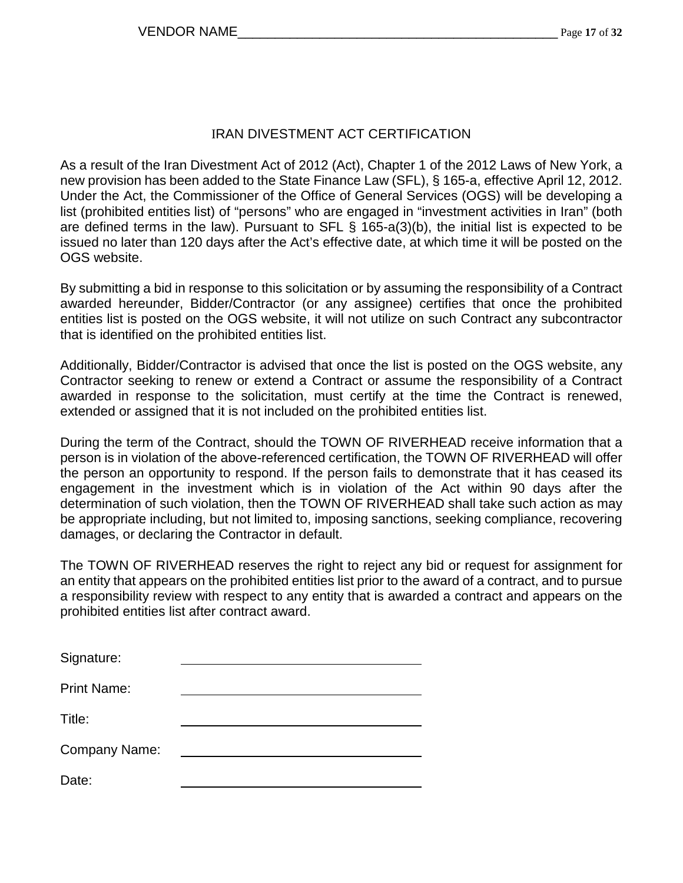### IRAN DIVESTMENT ACT CERTIFICATION

As a result of the Iran Divestment Act of 2012 (Act), Chapter 1 of the 2012 Laws of New York, a new provision has been added to the State Finance Law (SFL), § 165-a, effective April 12, 2012. Under the Act, the Commissioner of the Office of General Services (OGS) will be developing a list (prohibited entities list) of "persons" who are engaged in "investment activities in Iran" (both are defined terms in the law). Pursuant to SFL § 165-a(3)(b), the initial list is expected to be issued no later than 120 days after the Act's effective date, at which time it will be posted on the OGS website.

By submitting a bid in response to this solicitation or by assuming the responsibility of a Contract awarded hereunder, Bidder/Contractor (or any assignee) certifies that once the prohibited entities list is posted on the OGS website, it will not utilize on such Contract any subcontractor that is identified on the prohibited entities list.

Additionally, Bidder/Contractor is advised that once the list is posted on the OGS website, any Contractor seeking to renew or extend a Contract or assume the responsibility of a Contract awarded in response to the solicitation, must certify at the time the Contract is renewed, extended or assigned that it is not included on the prohibited entities list.

During the term of the Contract, should the TOWN OF RIVERHEAD receive information that a person is in violation of the above-referenced certification, the TOWN OF RIVERHEAD will offer the person an opportunity to respond. If the person fails to demonstrate that it has ceased its engagement in the investment which is in violation of the Act within 90 days after the determination of such violation, then the TOWN OF RIVERHEAD shall take such action as may be appropriate including, but not limited to, imposing sanctions, seeking compliance, recovering damages, or declaring the Contractor in default.

The TOWN OF RIVERHEAD reserves the right to reject any bid or request for assignment for an entity that appears on the prohibited entities list prior to the award of a contract, and to pursue a responsibility review with respect to any entity that is awarded a contract and appears on the prohibited entities list after contract award.

| Signature:           |  |
|----------------------|--|
| <b>Print Name:</b>   |  |
| Title:               |  |
| <b>Company Name:</b> |  |
| Date:                |  |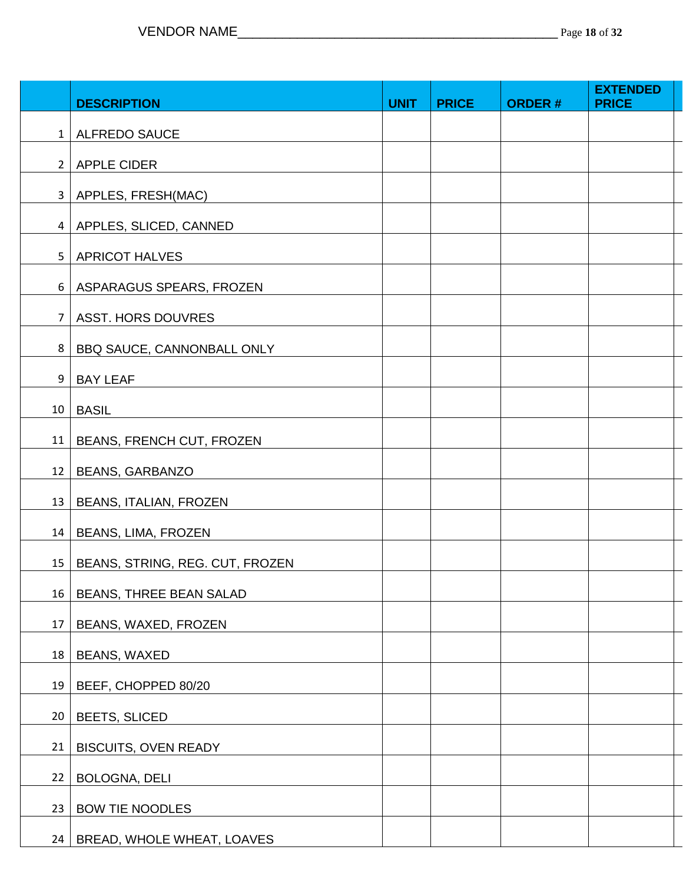|                 | <b>DESCRIPTION</b>              | <b>UNIT</b> | <b>PRICE</b> | <b>ORDER#</b> | <b>EXTENDED</b><br><b>PRICE</b> |
|-----------------|---------------------------------|-------------|--------------|---------------|---------------------------------|
| $1 \square$     | <b>ALFREDO SAUCE</b>            |             |              |               |                                 |
| 2 <sup>1</sup>  | <b>APPLE CIDER</b>              |             |              |               |                                 |
|                 | 3   APPLES, FRESH(MAC)          |             |              |               |                                 |
|                 | 4   APPLES, SLICED, CANNED      |             |              |               |                                 |
| 5 <sub>1</sub>  | <b>APRICOT HALVES</b>           |             |              |               |                                 |
| 6               | ASPARAGUS SPEARS, FROZEN        |             |              |               |                                 |
| $\overline{7}$  | <b>ASST. HORS DOUVRES</b>       |             |              |               |                                 |
| 8               | BBQ SAUCE, CANNONBALL ONLY      |             |              |               |                                 |
| 9 <sup>1</sup>  | <b>BAY LEAF</b>                 |             |              |               |                                 |
| 10 <sup>1</sup> | <b>BASIL</b>                    |             |              |               |                                 |
| 11              | BEANS, FRENCH CUT, FROZEN       |             |              |               |                                 |
| 12              | BEANS, GARBANZO                 |             |              |               |                                 |
| 13              | <b>BEANS, ITALIAN, FROZEN</b>   |             |              |               |                                 |
| 14              | BEANS, LIMA, FROZEN             |             |              |               |                                 |
| 15              | BEANS, STRING, REG. CUT, FROZEN |             |              |               |                                 |
| 16              | BEANS, THREE BEAN SALAD         |             |              |               |                                 |
| 17              | BEANS, WAXED, FROZEN            |             |              |               |                                 |
| 18              | <b>BEANS, WAXED</b>             |             |              |               |                                 |
| 19              | BEEF, CHOPPED 80/20             |             |              |               |                                 |
| 20              | <b>BEETS, SLICED</b>            |             |              |               |                                 |
| 21              | <b>BISCUITS, OVEN READY</b>     |             |              |               |                                 |
| 22              | BOLOGNA, DELI                   |             |              |               |                                 |
| 23              | <b>BOW TIE NOODLES</b>          |             |              |               |                                 |
| 24              | BREAD, WHOLE WHEAT, LOAVES      |             |              |               |                                 |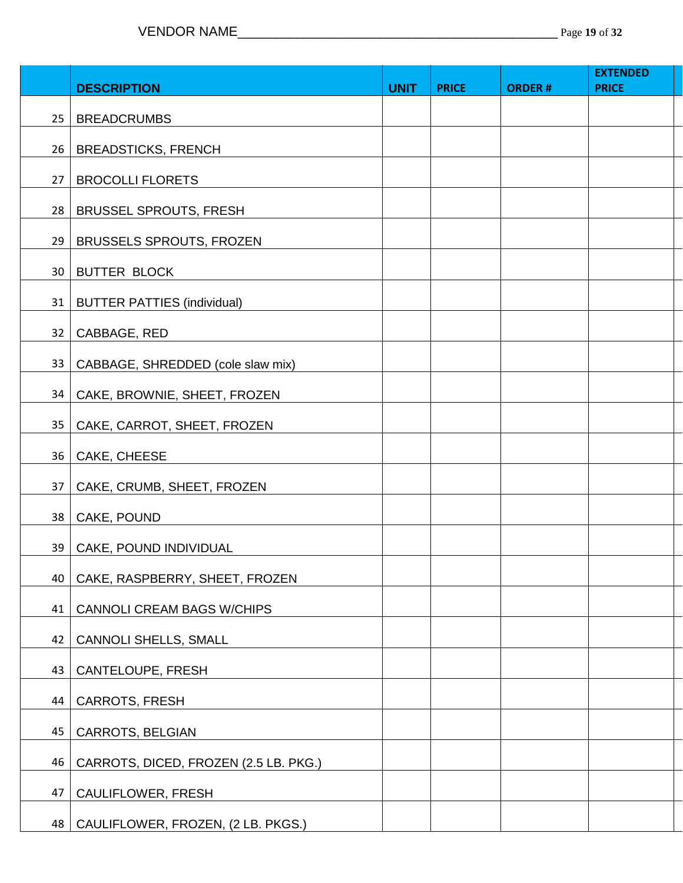|                 |                                       |             |              |               | <b>EXTENDED</b> |
|-----------------|---------------------------------------|-------------|--------------|---------------|-----------------|
|                 | <b>DESCRIPTION</b>                    | <b>UNIT</b> | <b>PRICE</b> | <b>ORDER#</b> | <b>PRICE</b>    |
| 25 <sub>1</sub> | <b>BREADCRUMBS</b>                    |             |              |               |                 |
|                 | 26   BREADSTICKS, FRENCH              |             |              |               |                 |
| 27              | <b>BROCOLLI FLORETS</b>               |             |              |               |                 |
| 28              | <b>BRUSSEL SPROUTS, FRESH</b>         |             |              |               |                 |
| 29              | <b>BRUSSELS SPROUTS, FROZEN</b>       |             |              |               |                 |
|                 | 30   BUTTER BLOCK                     |             |              |               |                 |
|                 | 31   BUTTER PATTIES (individual)      |             |              |               |                 |
| 32              | CABBAGE, RED                          |             |              |               |                 |
| 33              | CABBAGE, SHREDDED (cole slaw mix)     |             |              |               |                 |
| 34              | CAKE, BROWNIE, SHEET, FROZEN          |             |              |               |                 |
| 35 <sub>2</sub> | CAKE, CARROT, SHEET, FROZEN           |             |              |               |                 |
| 36              | CAKE, CHEESE                          |             |              |               |                 |
| 37              | CAKE, CRUMB, SHEET, FROZEN            |             |              |               |                 |
| 38              | CAKE, POUND                           |             |              |               |                 |
|                 | 39   CAKE, POUND INDIVIDUAL           |             |              |               |                 |
| 40              | CAKE, RASPBERRY, SHEET, FROZEN        |             |              |               |                 |
| 41              | <b>CANNOLI CREAM BAGS W/CHIPS</b>     |             |              |               |                 |
| 42              | <b>CANNOLI SHELLS, SMALL</b>          |             |              |               |                 |
| 43              | CANTELOUPE, FRESH                     |             |              |               |                 |
| 44              | <b>CARROTS, FRESH</b>                 |             |              |               |                 |
| 45              | CARROTS, BELGIAN                      |             |              |               |                 |
| 46              | CARROTS, DICED, FROZEN (2.5 LB. PKG.) |             |              |               |                 |
| 47              | <b>CAULIFLOWER, FRESH</b>             |             |              |               |                 |
| 48              | CAULIFLOWER, FROZEN, (2 LB. PKGS.)    |             |              |               |                 |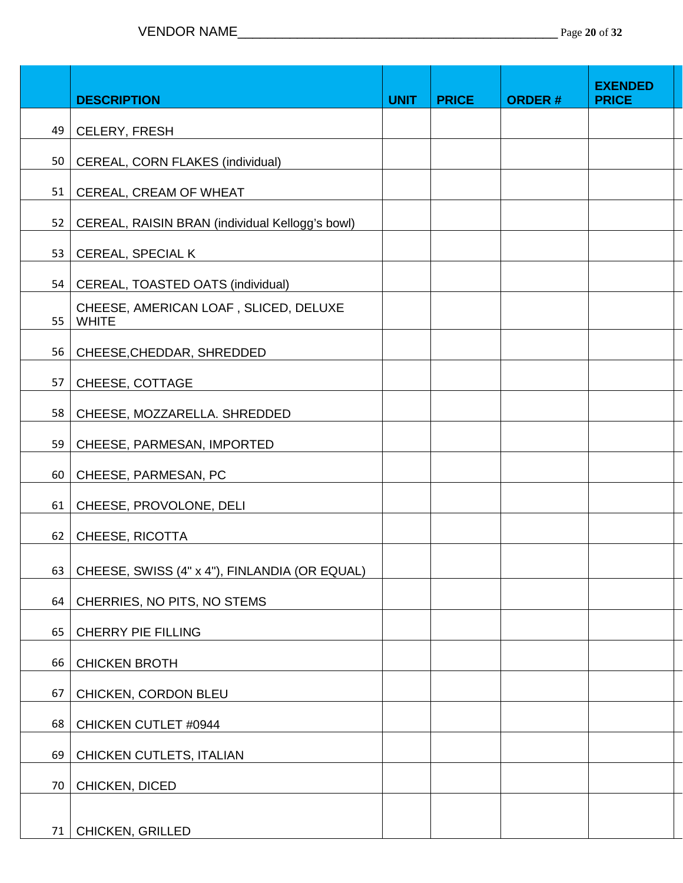|    | <b>DESCRIPTION</b>                                    | <b>UNIT</b> | <b>PRICE</b> | <b>ORDER#</b> | <b>EXENDED</b><br><b>PRICE</b> |
|----|-------------------------------------------------------|-------------|--------------|---------------|--------------------------------|
| 49 | <b>CELERY, FRESH</b>                                  |             |              |               |                                |
| 50 | CEREAL, CORN FLAKES (individual)                      |             |              |               |                                |
| 51 | CEREAL, CREAM OF WHEAT                                |             |              |               |                                |
| 52 | CEREAL, RAISIN BRAN (individual Kellogg's bowl)       |             |              |               |                                |
| 53 | <b>CEREAL, SPECIAL K</b>                              |             |              |               |                                |
| 54 | CEREAL, TOASTED OATS (individual)                     |             |              |               |                                |
| 55 | CHEESE, AMERICAN LOAF, SLICED, DELUXE<br><b>WHITE</b> |             |              |               |                                |
| 56 | CHEESE, CHEDDAR, SHREDDED                             |             |              |               |                                |
| 57 | CHEESE, COTTAGE                                       |             |              |               |                                |
| 58 | CHEESE, MOZZARELLA. SHREDDED                          |             |              |               |                                |
| 59 | CHEESE, PARMESAN, IMPORTED                            |             |              |               |                                |
| 60 | CHEESE, PARMESAN, PC                                  |             |              |               |                                |
| 61 | CHEESE, PROVOLONE, DELI                               |             |              |               |                                |
| 62 | CHEESE, RICOTTA                                       |             |              |               |                                |
| 63 | CHEESE, SWISS (4" x 4"), FINLANDIA (OR EQUAL)         |             |              |               |                                |
| 64 | CHERRIES, NO PITS, NO STEMS                           |             |              |               |                                |
| 65 | <b>CHERRY PIE FILLING</b>                             |             |              |               |                                |
| 66 | <b>CHICKEN BROTH</b>                                  |             |              |               |                                |
| 67 | CHICKEN, CORDON BLEU                                  |             |              |               |                                |
| 68 | CHICKEN CUTLET #0944                                  |             |              |               |                                |
| 69 | CHICKEN CUTLETS, ITALIAN                              |             |              |               |                                |
| 70 | CHICKEN, DICED                                        |             |              |               |                                |
| 71 | CHICKEN, GRILLED                                      |             |              |               |                                |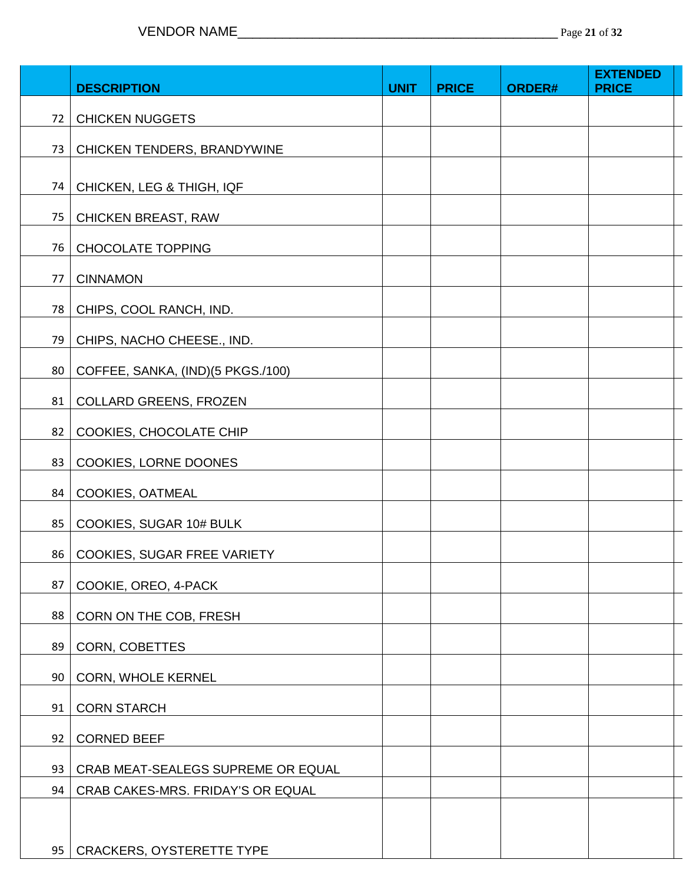|    | <b>DESCRIPTION</b>                 | <b>UNIT</b> | <b>PRICE</b> | ORDER# | <b>EXTENDED</b><br><b>PRICE</b> |
|----|------------------------------------|-------------|--------------|--------|---------------------------------|
|    |                                    |             |              |        |                                 |
| 72 | <b>CHICKEN NUGGETS</b>             |             |              |        |                                 |
| 73 | CHICKEN TENDERS, BRANDYWINE        |             |              |        |                                 |
| 74 | CHICKEN, LEG & THIGH, IQF          |             |              |        |                                 |
| 75 | <b>CHICKEN BREAST, RAW</b>         |             |              |        |                                 |
| 76 | <b>CHOCOLATE TOPPING</b>           |             |              |        |                                 |
| 77 | <b>CINNAMON</b>                    |             |              |        |                                 |
|    |                                    |             |              |        |                                 |
| 78 | CHIPS, COOL RANCH, IND.            |             |              |        |                                 |
| 79 | CHIPS, NACHO CHEESE., IND.         |             |              |        |                                 |
| 80 | COFFEE, SANKA, (IND)(5 PKGS./100)  |             |              |        |                                 |
| 81 | <b>COLLARD GREENS, FROZEN</b>      |             |              |        |                                 |
| 82 | COOKIES, CHOCOLATE CHIP            |             |              |        |                                 |
| 83 | COOKIES, LORNE DOONES              |             |              |        |                                 |
| 84 | COOKIES, OATMEAL                   |             |              |        |                                 |
| 85 | COOKIES, SUGAR 10# BULK            |             |              |        |                                 |
| 86 | COOKIES, SUGAR FREE VARIETY        |             |              |        |                                 |
| 87 | COOKIE, OREO, 4-PACK               |             |              |        |                                 |
| 88 | CORN ON THE COB, FRESH             |             |              |        |                                 |
| 89 | CORN, COBETTES                     |             |              |        |                                 |
| 90 | CORN, WHOLE KERNEL                 |             |              |        |                                 |
|    |                                    |             |              |        |                                 |
| 91 | <b>CORN STARCH</b>                 |             |              |        |                                 |
| 92 | <b>CORNED BEEF</b>                 |             |              |        |                                 |
| 93 | CRAB MEAT-SEALEGS SUPREME OR EQUAL |             |              |        |                                 |
| 94 | CRAB CAKES-MRS. FRIDAY'S OR EQUAL  |             |              |        |                                 |
|    |                                    |             |              |        |                                 |
| 95 | <b>CRACKERS, OYSTERETTE TYPE</b>   |             |              |        |                                 |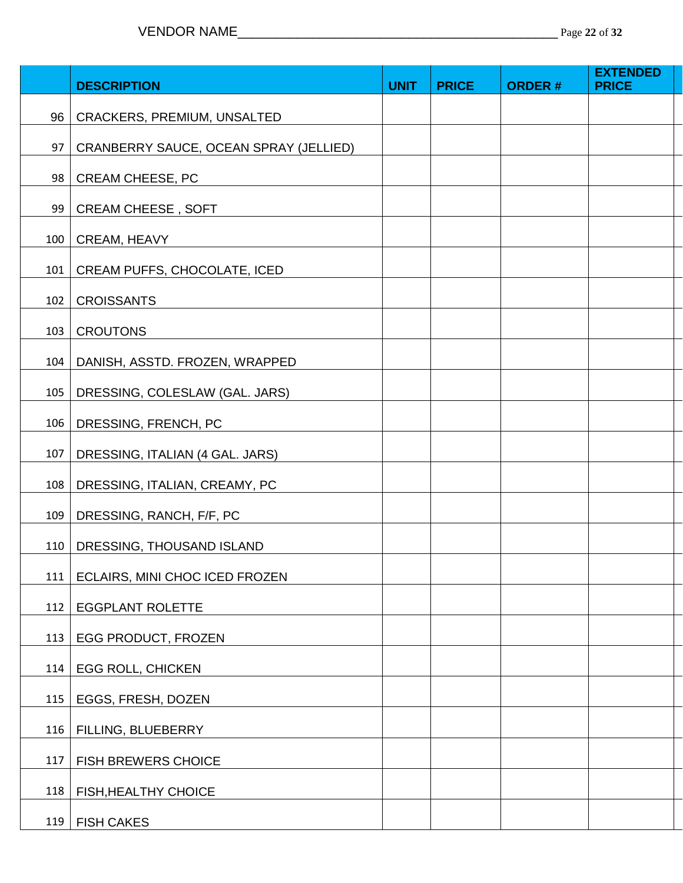|     |                                        |             |              |               | <b>EXTENDED</b> |
|-----|----------------------------------------|-------------|--------------|---------------|-----------------|
|     | <b>DESCRIPTION</b>                     | <b>UNIT</b> | <b>PRICE</b> | <b>ORDER#</b> | <b>PRICE</b>    |
| 96  | CRACKERS, PREMIUM, UNSALTED            |             |              |               |                 |
| 97  | CRANBERRY SAUCE, OCEAN SPRAY (JELLIED) |             |              |               |                 |
| 98  | <b>CREAM CHEESE, PC</b>                |             |              |               |                 |
| 99  | <b>CREAM CHEESE, SOFT</b>              |             |              |               |                 |
| 100 | CREAM, HEAVY                           |             |              |               |                 |
| 101 | CREAM PUFFS, CHOCOLATE, ICED           |             |              |               |                 |
| 102 | <b>CROISSANTS</b>                      |             |              |               |                 |
| 103 | <b>CROUTONS</b>                        |             |              |               |                 |
| 104 | DANISH, ASSTD. FROZEN, WRAPPED         |             |              |               |                 |
| 105 | DRESSING, COLESLAW (GAL. JARS)         |             |              |               |                 |
| 106 | DRESSING, FRENCH, PC                   |             |              |               |                 |
| 107 | DRESSING, ITALIAN (4 GAL. JARS)        |             |              |               |                 |
| 108 | DRESSING, ITALIAN, CREAMY, PC          |             |              |               |                 |
| 109 | DRESSING, RANCH, F/F, PC               |             |              |               |                 |
| 110 | DRESSING, THOUSAND ISLAND              |             |              |               |                 |
| 111 | ECLAIRS, MINI CHOC ICED FROZEN         |             |              |               |                 |
| 112 | <b>EGGPLANT ROLETTE</b>                |             |              |               |                 |
| 113 | EGG PRODUCT, FROZEN                    |             |              |               |                 |
| 114 | <b>EGG ROLL, CHICKEN</b>               |             |              |               |                 |
| 115 | EGGS, FRESH, DOZEN                     |             |              |               |                 |
| 116 | FILLING, BLUEBERRY                     |             |              |               |                 |
| 117 | <b>FISH BREWERS CHOICE</b>             |             |              |               |                 |
| 118 | <b>FISH, HEALTHY CHOICE</b>            |             |              |               |                 |
| 119 | <b>FISH CAKES</b>                      |             |              |               |                 |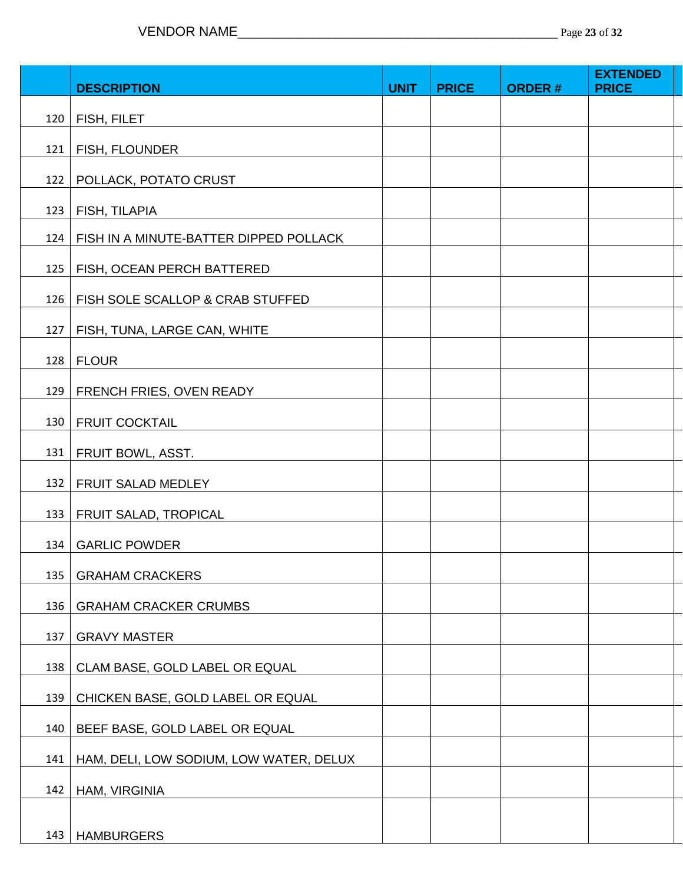|     | <b>DESCRIPTION</b>                      | <b>UNIT</b> | <b>PRICE</b> | <b>ORDER#</b> | <b>EXTENDED</b><br><b>PRICE</b> |
|-----|-----------------------------------------|-------------|--------------|---------------|---------------------------------|
|     |                                         |             |              |               |                                 |
| 120 | FISH, FILET                             |             |              |               |                                 |
| 121 | FISH, FLOUNDER                          |             |              |               |                                 |
| 122 | POLLACK, POTATO CRUST                   |             |              |               |                                 |
| 123 | FISH, TILAPIA                           |             |              |               |                                 |
| 124 | FISH IN A MINUTE-BATTER DIPPED POLLACK  |             |              |               |                                 |
| 125 | FISH, OCEAN PERCH BATTERED              |             |              |               |                                 |
| 126 | FISH SOLE SCALLOP & CRAB STUFFED        |             |              |               |                                 |
| 127 | FISH, TUNA, LARGE CAN, WHITE            |             |              |               |                                 |
| 128 | <b>FLOUR</b>                            |             |              |               |                                 |
|     |                                         |             |              |               |                                 |
| 129 | FRENCH FRIES, OVEN READY                |             |              |               |                                 |
| 130 | <b>FRUIT COCKTAIL</b>                   |             |              |               |                                 |
| 131 | FRUIT BOWL, ASST.                       |             |              |               |                                 |
| 132 | FRUIT SALAD MEDLEY                      |             |              |               |                                 |
| 133 | FRUIT SALAD, TROPICAL                   |             |              |               |                                 |
| 134 | <b>GARLIC POWDER</b>                    |             |              |               |                                 |
| 135 | <b>GRAHAM CRACKERS</b>                  |             |              |               |                                 |
| 136 | <b>GRAHAM CRACKER CRUMBS</b>            |             |              |               |                                 |
| 137 | <b>GRAVY MASTER</b>                     |             |              |               |                                 |
|     |                                         |             |              |               |                                 |
| 138 | CLAM BASE, GOLD LABEL OR EQUAL          |             |              |               |                                 |
| 139 | CHICKEN BASE, GOLD LABEL OR EQUAL       |             |              |               |                                 |
| 140 | BEEF BASE, GOLD LABEL OR EQUAL          |             |              |               |                                 |
| 141 | HAM, DELI, LOW SODIUM, LOW WATER, DELUX |             |              |               |                                 |
| 142 | HAM, VIRGINIA                           |             |              |               |                                 |
|     |                                         |             |              |               |                                 |
| 143 | <b>HAMBURGERS</b>                       |             |              |               |                                 |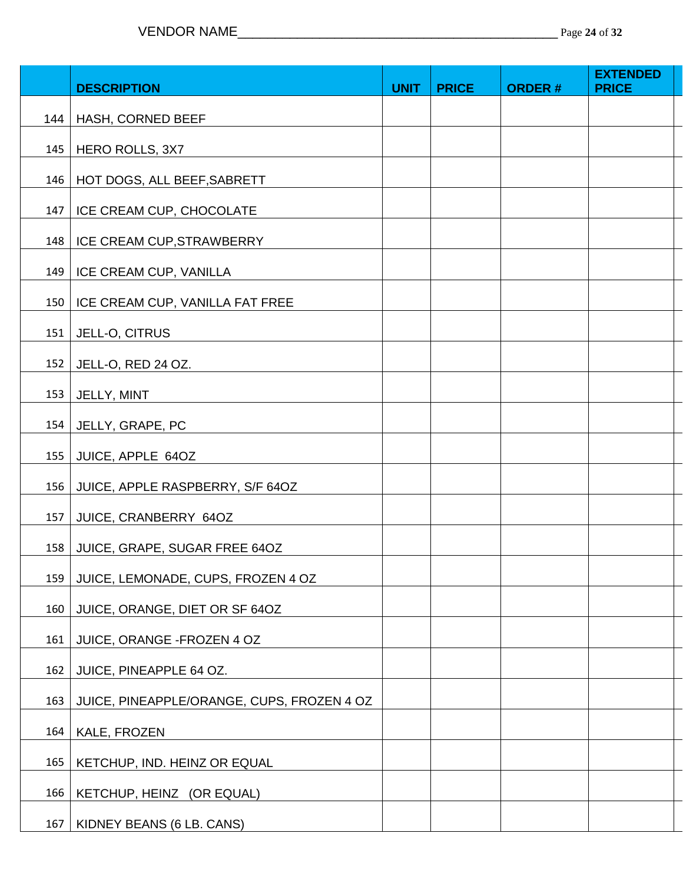|     | <b>DESCRIPTION</b>                         | <b>UNIT</b> | <b>PRICE</b> | <b>ORDER#</b> | <b>EXTENDED</b><br><b>PRICE</b> |  |
|-----|--------------------------------------------|-------------|--------------|---------------|---------------------------------|--|
|     | 144   HASH, CORNED BEEF                    |             |              |               |                                 |  |
| 145 | HERO ROLLS, 3X7                            |             |              |               |                                 |  |
| 146 | HOT DOGS, ALL BEEF, SABRETT                |             |              |               |                                 |  |
| 147 | ICE CREAM CUP, CHOCOLATE                   |             |              |               |                                 |  |
| 148 | ICE CREAM CUP, STRAWBERRY                  |             |              |               |                                 |  |
| 149 | ICE CREAM CUP, VANILLA                     |             |              |               |                                 |  |
| 150 | ICE CREAM CUP, VANILLA FAT FREE            |             |              |               |                                 |  |
|     | 151   JELL-O, CITRUS                       |             |              |               |                                 |  |
| 152 | JELL-O, RED 24 OZ.                         |             |              |               |                                 |  |
|     | 153   JELLY, MINT                          |             |              |               |                                 |  |
|     | 154   JELLY, GRAPE, PC                     |             |              |               |                                 |  |
|     | 155 JUICE, APPLE 64OZ                      |             |              |               |                                 |  |
| 156 | JUICE, APPLE RASPBERRY, S/F 64OZ           |             |              |               |                                 |  |
| 157 | JUICE, CRANBERRY 64OZ                      |             |              |               |                                 |  |
|     | 158 JUICE, GRAPE, SUGAR FREE 64OZ          |             |              |               |                                 |  |
| 159 | JUICE, LEMONADE, CUPS, FROZEN 4 OZ         |             |              |               |                                 |  |
| 160 | JUICE, ORANGE, DIET OR SF 64OZ             |             |              |               |                                 |  |
| 161 | JUICE, ORANGE - FROZEN 4 OZ                |             |              |               |                                 |  |
| 162 | JUICE, PINEAPPLE 64 OZ.                    |             |              |               |                                 |  |
| 163 | JUICE, PINEAPPLE/ORANGE, CUPS, FROZEN 4 OZ |             |              |               |                                 |  |
| 164 | KALE, FROZEN                               |             |              |               |                                 |  |
| 165 | KETCHUP, IND. HEINZ OR EQUAL               |             |              |               |                                 |  |
| 166 | KETCHUP, HEINZ (OR EQUAL)                  |             |              |               |                                 |  |
| 167 | KIDNEY BEANS (6 LB. CANS)                  |             |              |               |                                 |  |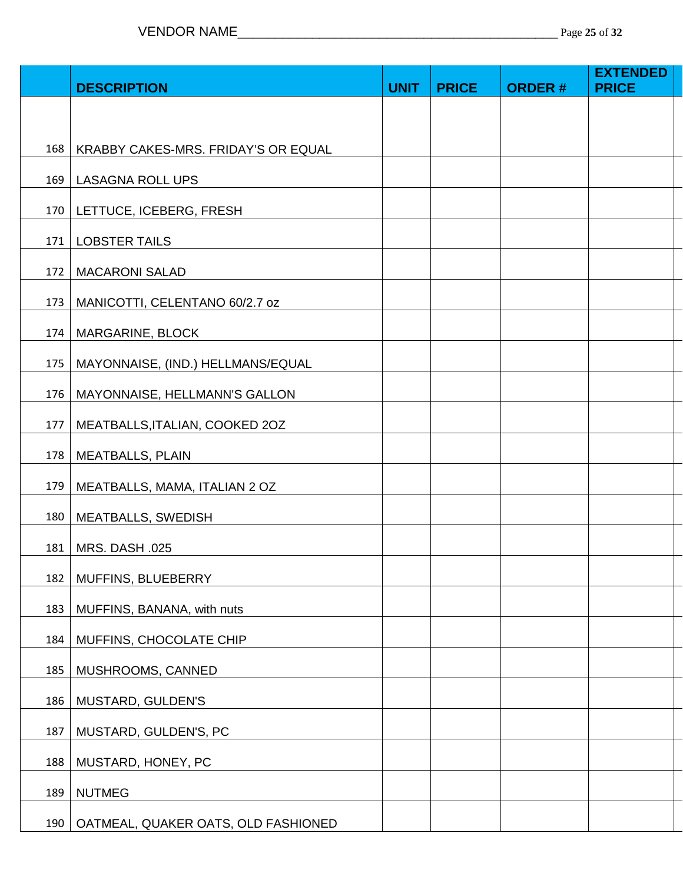|     | <b>DESCRIPTION</b>                  | <b>UNIT</b> | <b>PRICE</b> | <b>ORDER#</b> | <b>EXTENDED</b><br><b>PRICE</b> |  |
|-----|-------------------------------------|-------------|--------------|---------------|---------------------------------|--|
|     |                                     |             |              |               |                                 |  |
|     |                                     |             |              |               |                                 |  |
| 168 | KRABBY CAKES-MRS. FRIDAY'S OR EQUAL |             |              |               |                                 |  |
|     | 169   LASAGNA ROLL UPS              |             |              |               |                                 |  |
|     | 170   LETTUCE, ICEBERG, FRESH       |             |              |               |                                 |  |
| 171 | <b>LOBSTER TAILS</b>                |             |              |               |                                 |  |
| 172 | <b>MACARONI SALAD</b>               |             |              |               |                                 |  |
| 173 | MANICOTTI, CELENTANO 60/2.7 oz      |             |              |               |                                 |  |
| 174 | MARGARINE, BLOCK                    |             |              |               |                                 |  |
| 175 | MAYONNAISE, (IND.) HELLMANS/EQUAL   |             |              |               |                                 |  |
| 176 | MAYONNAISE, HELLMANN'S GALLON       |             |              |               |                                 |  |
| 177 | MEATBALLS, ITALIAN, COOKED 20Z      |             |              |               |                                 |  |
| 178 | <b>MEATBALLS, PLAIN</b>             |             |              |               |                                 |  |
| 179 | MEATBALLS, MAMA, ITALIAN 2 OZ       |             |              |               |                                 |  |
| 180 | MEATBALLS, SWEDISH                  |             |              |               |                                 |  |
| 181 | MRS. DASH .025                      |             |              |               |                                 |  |
| 182 | MUFFINS, BLUEBERRY                  |             |              |               |                                 |  |
| 183 | MUFFINS, BANANA, with nuts          |             |              |               |                                 |  |
| 184 | MUFFINS, CHOCOLATE CHIP             |             |              |               |                                 |  |
| 185 | MUSHROOMS, CANNED                   |             |              |               |                                 |  |
| 186 | MUSTARD, GULDEN'S                   |             |              |               |                                 |  |
| 187 | MUSTARD, GULDEN'S, PC               |             |              |               |                                 |  |
| 188 | MUSTARD, HONEY, PC                  |             |              |               |                                 |  |
| 189 | <b>NUTMEG</b>                       |             |              |               |                                 |  |
| 190 | OATMEAL, QUAKER OATS, OLD FASHIONED |             |              |               |                                 |  |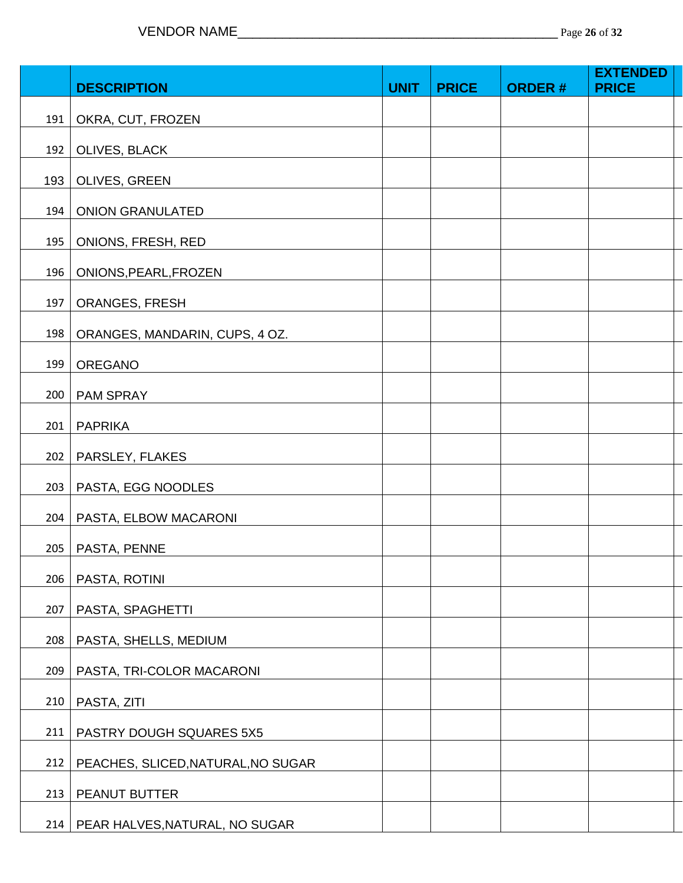|     |                                    |             |              |               | <b>EXTENDED</b> |
|-----|------------------------------------|-------------|--------------|---------------|-----------------|
|     | <b>DESCRIPTION</b>                 | <b>UNIT</b> | <b>PRICE</b> | <b>ORDER#</b> | <b>PRICE</b>    |
| 191 | OKRA, CUT, FROZEN                  |             |              |               |                 |
| 192 | OLIVES, BLACK                      |             |              |               |                 |
| 193 | OLIVES, GREEN                      |             |              |               |                 |
| 194 | <b>ONION GRANULATED</b>            |             |              |               |                 |
| 195 | ONIONS, FRESH, RED                 |             |              |               |                 |
| 196 | ONIONS, PEARL, FROZEN              |             |              |               |                 |
| 197 | <b>ORANGES, FRESH</b>              |             |              |               |                 |
| 198 | ORANGES, MANDARIN, CUPS, 4 OZ.     |             |              |               |                 |
| 199 | OREGANO                            |             |              |               |                 |
| 200 | PAM SPRAY                          |             |              |               |                 |
| 201 | <b>PAPRIKA</b>                     |             |              |               |                 |
| 202 | PARSLEY, FLAKES                    |             |              |               |                 |
| 203 | PASTA, EGG NOODLES                 |             |              |               |                 |
| 204 | PASTA, ELBOW MACARONI              |             |              |               |                 |
| 205 | PASTA, PENNE                       |             |              |               |                 |
| 206 | PASTA, ROTINI                      |             |              |               |                 |
| 207 | PASTA, SPAGHETTI                   |             |              |               |                 |
| 208 | PASTA, SHELLS, MEDIUM              |             |              |               |                 |
| 209 | PASTA, TRI-COLOR MACARONI          |             |              |               |                 |
| 210 | PASTA, ZITI                        |             |              |               |                 |
| 211 | PASTRY DOUGH SQUARES 5X5           |             |              |               |                 |
| 212 | PEACHES, SLICED, NATURAL, NO SUGAR |             |              |               |                 |
| 213 | PEANUT BUTTER                      |             |              |               |                 |
| 214 | PEAR HALVES, NATURAL, NO SUGAR     |             |              |               |                 |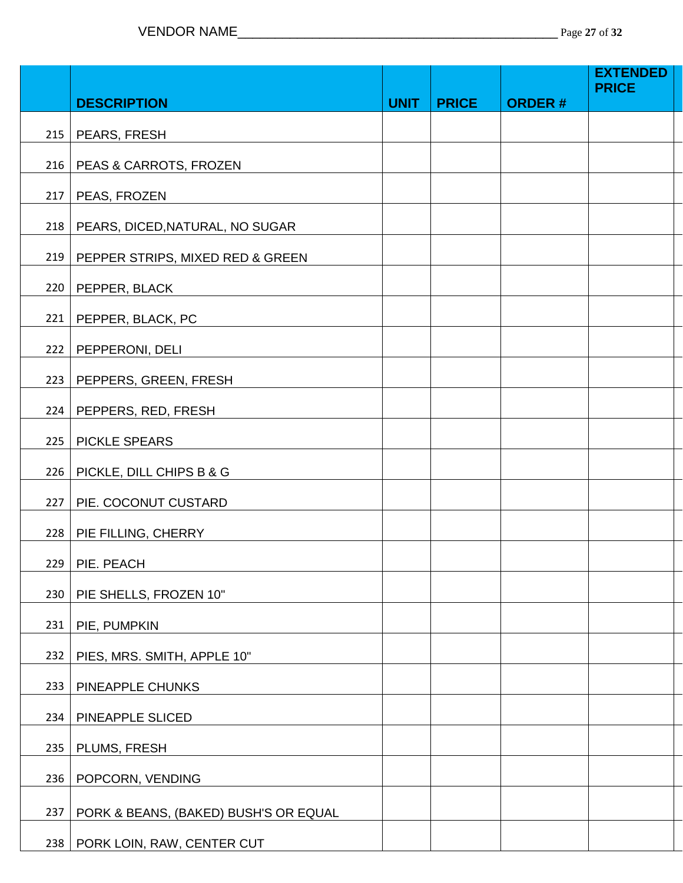|     |                                       |             |              |               | <b>EXTENDED</b><br><b>PRICE</b> |
|-----|---------------------------------------|-------------|--------------|---------------|---------------------------------|
|     | <b>DESCRIPTION</b>                    | <b>UNIT</b> | <b>PRICE</b> | <b>ORDER#</b> |                                 |
| 215 | PEARS, FRESH                          |             |              |               |                                 |
| 216 | PEAS & CARROTS, FROZEN                |             |              |               |                                 |
| 217 | PEAS, FROZEN                          |             |              |               |                                 |
| 218 | PEARS, DICED, NATURAL, NO SUGAR       |             |              |               |                                 |
| 219 | PEPPER STRIPS, MIXED RED & GREEN      |             |              |               |                                 |
| 220 | PEPPER, BLACK                         |             |              |               |                                 |
| 221 | PEPPER, BLACK, PC                     |             |              |               |                                 |
| 222 | PEPPERONI, DELI                       |             |              |               |                                 |
| 223 | PEPPERS, GREEN, FRESH                 |             |              |               |                                 |
| 224 | PEPPERS, RED, FRESH                   |             |              |               |                                 |
| 225 | PICKLE SPEARS                         |             |              |               |                                 |
| 226 | PICKLE, DILL CHIPS B & G              |             |              |               |                                 |
| 227 | PIE. COCONUT CUSTARD                  |             |              |               |                                 |
| 228 | PIE FILLING, CHERRY                   |             |              |               |                                 |
|     | $229$ PIE. PEACH                      |             |              |               |                                 |
| 230 | PIE SHELLS, FROZEN 10"                |             |              |               |                                 |
| 231 | PIE, PUMPKIN                          |             |              |               |                                 |
| 232 | PIES, MRS. SMITH, APPLE 10"           |             |              |               |                                 |
| 233 | PINEAPPLE CHUNKS                      |             |              |               |                                 |
| 234 | PINEAPPLE SLICED                      |             |              |               |                                 |
| 235 | PLUMS, FRESH                          |             |              |               |                                 |
| 236 | POPCORN, VENDING                      |             |              |               |                                 |
| 237 | PORK & BEANS, (BAKED) BUSH'S OR EQUAL |             |              |               |                                 |
| 238 | PORK LOIN, RAW, CENTER CUT            |             |              |               |                                 |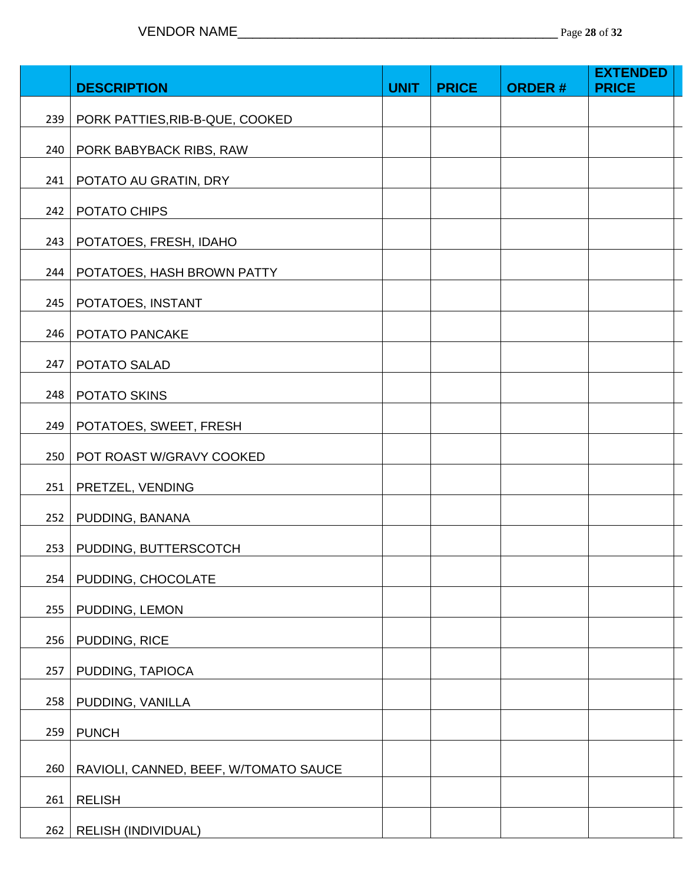|     | <b>DESCRIPTION</b>                    | <b>UNIT</b> | <b>PRICE</b> | <b>ORDER#</b> | <b>EXTENDED</b><br><b>PRICE</b> |
|-----|---------------------------------------|-------------|--------------|---------------|---------------------------------|
| 239 | PORK PATTIES, RIB-B-QUE, COOKED       |             |              |               |                                 |
| 240 | PORK BABYBACK RIBS, RAW               |             |              |               |                                 |
| 241 | POTATO AU GRATIN, DRY                 |             |              |               |                                 |
| 242 | POTATO CHIPS                          |             |              |               |                                 |
| 243 | POTATOES, FRESH, IDAHO                |             |              |               |                                 |
| 244 | POTATOES, HASH BROWN PATTY            |             |              |               |                                 |
| 245 | POTATOES, INSTANT                     |             |              |               |                                 |
| 246 | POTATO PANCAKE                        |             |              |               |                                 |
| 247 | POTATO SALAD                          |             |              |               |                                 |
| 248 | POTATO SKINS                          |             |              |               |                                 |
|     | 249   POTATOES, SWEET, FRESH          |             |              |               |                                 |
| 250 | POT ROAST W/GRAVY COOKED              |             |              |               |                                 |
|     | 251   PRETZEL, VENDING                |             |              |               |                                 |
| 252 | PUDDING, BANANA                       |             |              |               |                                 |
| 253 | PUDDING, BUTTERSCOTCH                 |             |              |               |                                 |
| 254 | PUDDING, CHOCOLATE                    |             |              |               |                                 |
| 255 | PUDDING, LEMON                        |             |              |               |                                 |
| 256 | PUDDING, RICE                         |             |              |               |                                 |
| 257 | PUDDING, TAPIOCA                      |             |              |               |                                 |
| 258 | PUDDING, VANILLA                      |             |              |               |                                 |
| 259 | <b>PUNCH</b>                          |             |              |               |                                 |
| 260 | RAVIOLI, CANNED, BEEF, W/TOMATO SAUCE |             |              |               |                                 |
| 261 | <b>RELISH</b>                         |             |              |               |                                 |
|     | 262   RELISH (INDIVIDUAL)             |             |              |               |                                 |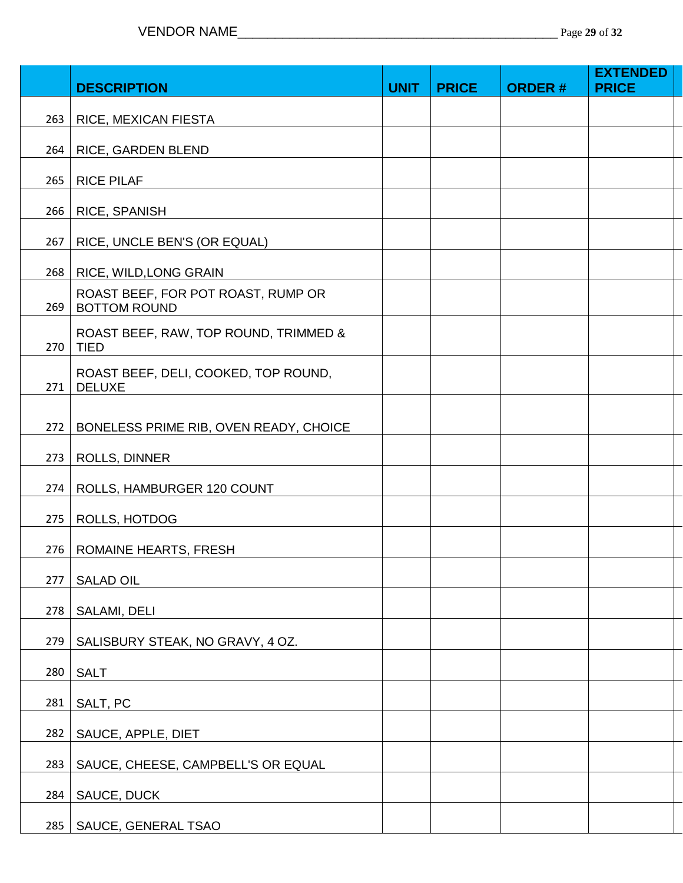|     | <b>DESCRIPTION</b>                                        | <b>UNIT</b> | <b>PRICE</b> | <b>ORDER#</b> | <b>EXTENDED</b><br><b>PRICE</b> |
|-----|-----------------------------------------------------------|-------------|--------------|---------------|---------------------------------|
| 263 | RICE, MEXICAN FIESTA                                      |             |              |               |                                 |
| 264 | RICE, GARDEN BLEND                                        |             |              |               |                                 |
|     |                                                           |             |              |               |                                 |
| 265 | <b>RICE PILAF</b>                                         |             |              |               |                                 |
| 266 | RICE, SPANISH                                             |             |              |               |                                 |
| 267 | RICE, UNCLE BEN'S (OR EQUAL)                              |             |              |               |                                 |
| 268 | RICE, WILD, LONG GRAIN                                    |             |              |               |                                 |
| 269 | ROAST BEEF, FOR POT ROAST, RUMP OR<br><b>BOTTOM ROUND</b> |             |              |               |                                 |
| 270 | ROAST BEEF, RAW, TOP ROUND, TRIMMED &<br><b>TIED</b>      |             |              |               |                                 |
| 271 | ROAST BEEF, DELI, COOKED, TOP ROUND,<br><b>DELUXE</b>     |             |              |               |                                 |
| 272 | BONELESS PRIME RIB, OVEN READY, CHOICE                    |             |              |               |                                 |
| 273 | <b>ROLLS, DINNER</b>                                      |             |              |               |                                 |
| 274 | ROLLS, HAMBURGER 120 COUNT                                |             |              |               |                                 |
| 275 | ROLLS, HOTDOG                                             |             |              |               |                                 |
| 276 | ROMAINE HEARTS, FRESH                                     |             |              |               |                                 |
| 277 | <b>SALAD OIL</b>                                          |             |              |               |                                 |
| 278 | SALAMI, DELI                                              |             |              |               |                                 |
| 279 | SALISBURY STEAK, NO GRAVY, 4 OZ.                          |             |              |               |                                 |
| 280 | <b>SALT</b>                                               |             |              |               |                                 |
| 281 | SALT, PC                                                  |             |              |               |                                 |
| 282 | SAUCE, APPLE, DIET                                        |             |              |               |                                 |
| 283 | SAUCE, CHEESE, CAMPBELL'S OR EQUAL                        |             |              |               |                                 |
| 284 | SAUCE, DUCK                                               |             |              |               |                                 |
| 285 | SAUCE, GENERAL TSAO                                       |             |              |               |                                 |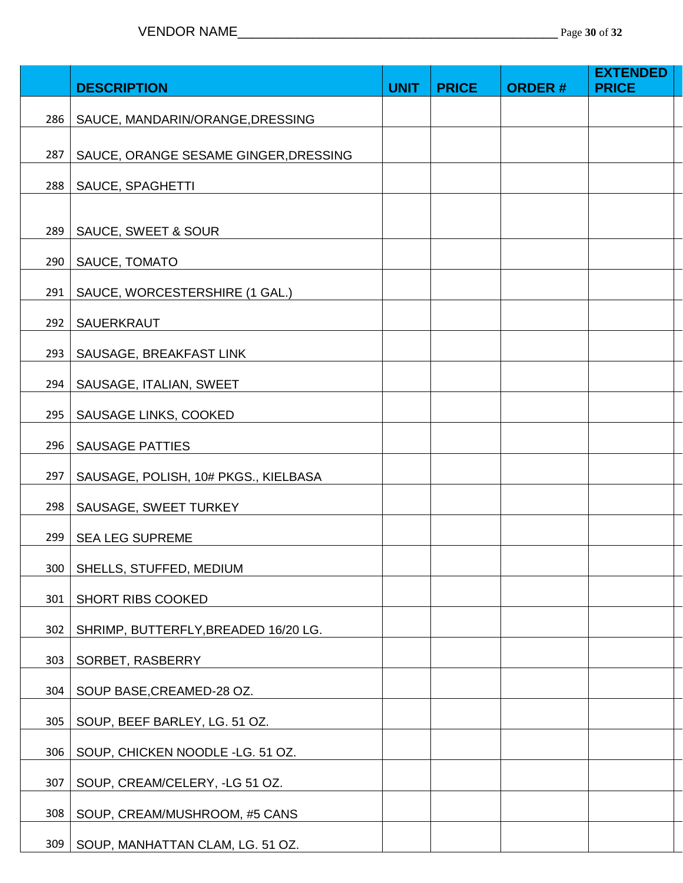|     |                                       |             |              |               | <b>EXTENDED</b> |
|-----|---------------------------------------|-------------|--------------|---------------|-----------------|
|     | <b>DESCRIPTION</b>                    | <b>UNIT</b> | <b>PRICE</b> | <b>ORDER#</b> | <b>PRICE</b>    |
| 286 | SAUCE, MANDARIN/ORANGE, DRESSING      |             |              |               |                 |
|     |                                       |             |              |               |                 |
| 287 | SAUCE, ORANGE SESAME GINGER, DRESSING |             |              |               |                 |
| 288 | SAUCE, SPAGHETTI                      |             |              |               |                 |
|     |                                       |             |              |               |                 |
| 289 | SAUCE, SWEET & SOUR                   |             |              |               |                 |
|     | 290   SAUCE, TOMATO                   |             |              |               |                 |
| 291 | SAUCE, WORCESTERSHIRE (1 GAL.)        |             |              |               |                 |
| 292 | SAUERKRAUT                            |             |              |               |                 |
| 293 | SAUSAGE, BREAKFAST LINK               |             |              |               |                 |
| 294 | SAUSAGE, ITALIAN, SWEET               |             |              |               |                 |
| 295 | SAUSAGE LINKS, COOKED                 |             |              |               |                 |
| 296 | <b>SAUSAGE PATTIES</b>                |             |              |               |                 |
| 297 | SAUSAGE, POLISH, 10# PKGS., KIELBASA  |             |              |               |                 |
| 298 | SAUSAGE, SWEET TURKEY                 |             |              |               |                 |
| 299 | <b>SEA LEG SUPREME</b>                |             |              |               |                 |
| 300 | SHELLS, STUFFED, MEDIUM               |             |              |               |                 |
| 301 | SHORT RIBS COOKED                     |             |              |               |                 |
| 302 | SHRIMP, BUTTERFLY, BREADED 16/20 LG.  |             |              |               |                 |
| 303 | SORBET, RASBERRY                      |             |              |               |                 |
| 304 | SOUP BASE, CREAMED-28 OZ.             |             |              |               |                 |
| 305 | SOUP, BEEF BARLEY, LG. 51 OZ.         |             |              |               |                 |
| 306 | SOUP, CHICKEN NOODLE -LG. 51 OZ.      |             |              |               |                 |
| 307 | SOUP, CREAM/CELERY, -LG 51 OZ.        |             |              |               |                 |
| 308 | SOUP, CREAM/MUSHROOM, #5 CANS         |             |              |               |                 |
| 309 | SOUP, MANHATTAN CLAM, LG. 51 OZ.      |             |              |               |                 |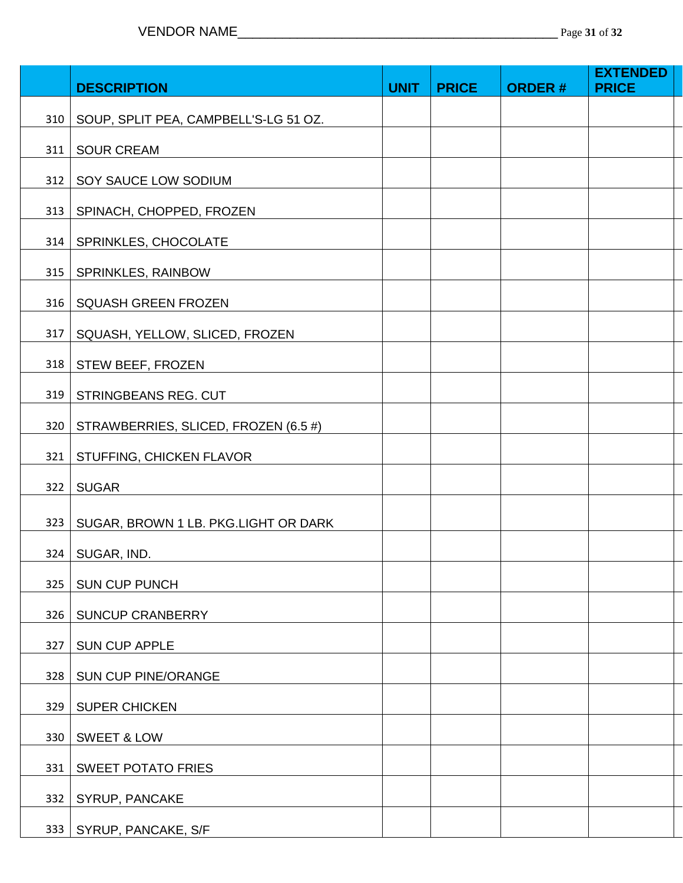|     | <b>DESCRIPTION</b>                    | <b>UNIT</b> | <b>PRICE</b> | <b>ORDER#</b> | <b>EXTENDED</b><br><b>PRICE</b> |  |
|-----|---------------------------------------|-------------|--------------|---------------|---------------------------------|--|
| 310 | SOUP, SPLIT PEA, CAMPBELL'S-LG 51 OZ. |             |              |               |                                 |  |
| 311 | <b>SOUR CREAM</b>                     |             |              |               |                                 |  |
| 312 | SOY SAUCE LOW SODIUM                  |             |              |               |                                 |  |
| 313 | SPINACH, CHOPPED, FROZEN              |             |              |               |                                 |  |
| 314 | SPRINKLES, CHOCOLATE                  |             |              |               |                                 |  |
| 315 | SPRINKLES, RAINBOW                    |             |              |               |                                 |  |
| 316 | <b>SQUASH GREEN FROZEN</b>            |             |              |               |                                 |  |
| 317 | SQUASH, YELLOW, SLICED, FROZEN        |             |              |               |                                 |  |
| 318 | STEW BEEF, FROZEN                     |             |              |               |                                 |  |
| 319 | STRINGBEANS REG. CUT                  |             |              |               |                                 |  |
| 320 | STRAWBERRIES, SLICED, FROZEN (6.5 #)  |             |              |               |                                 |  |
| 321 | STUFFING, CHICKEN FLAVOR              |             |              |               |                                 |  |
| 322 | <b>SUGAR</b>                          |             |              |               |                                 |  |
| 323 | SUGAR, BROWN 1 LB. PKG.LIGHT OR DARK  |             |              |               |                                 |  |
|     | 324   SUGAR, IND.                     |             |              |               |                                 |  |
| 325 | <b>SUN CUP PUNCH</b>                  |             |              |               |                                 |  |
| 326 | <b>SUNCUP CRANBERRY</b>               |             |              |               |                                 |  |
| 327 | <b>SUN CUP APPLE</b>                  |             |              |               |                                 |  |
| 328 | <b>SUN CUP PINE/ORANGE</b>            |             |              |               |                                 |  |
| 329 | <b>SUPER CHICKEN</b>                  |             |              |               |                                 |  |
| 330 | <b>SWEET &amp; LOW</b>                |             |              |               |                                 |  |
| 331 | <b>SWEET POTATO FRIES</b>             |             |              |               |                                 |  |
| 332 | SYRUP, PANCAKE                        |             |              |               |                                 |  |
| 333 | SYRUP, PANCAKE, S/F                   |             |              |               |                                 |  |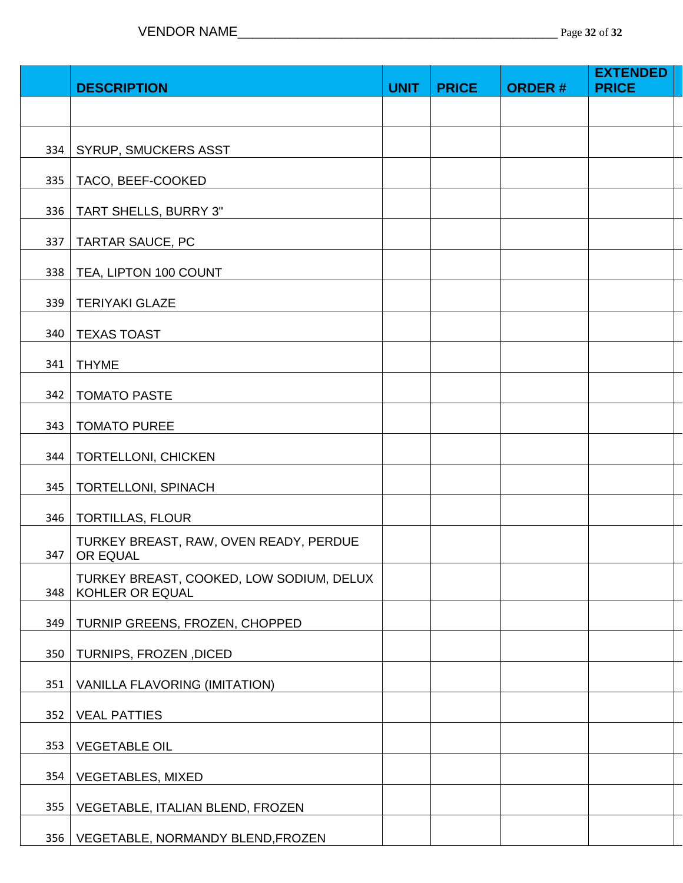|     |                                                             |             |              |               | <b>EXTENDED</b> |
|-----|-------------------------------------------------------------|-------------|--------------|---------------|-----------------|
|     | <b>DESCRIPTION</b>                                          | <b>UNIT</b> | <b>PRICE</b> | <b>ORDER#</b> | <b>PRICE</b>    |
|     |                                                             |             |              |               |                 |
|     |                                                             |             |              |               |                 |
| 334 | SYRUP, SMUCKERS ASST                                        |             |              |               |                 |
| 335 | TACO, BEEF-COOKED                                           |             |              |               |                 |
| 336 | TART SHELLS, BURRY 3"                                       |             |              |               |                 |
| 337 | TARTAR SAUCE, PC                                            |             |              |               |                 |
| 338 | TEA, LIPTON 100 COUNT                                       |             |              |               |                 |
| 339 | <b>TERIYAKI GLAZE</b>                                       |             |              |               |                 |
| 340 | <b>TEXAS TOAST</b>                                          |             |              |               |                 |
| 341 | <b>THYME</b>                                                |             |              |               |                 |
| 342 | <b>TOMATO PASTE</b>                                         |             |              |               |                 |
| 343 | <b>TOMATO PUREE</b>                                         |             |              |               |                 |
| 344 | <b>TORTELLONI, CHICKEN</b>                                  |             |              |               |                 |
| 345 | TORTELLONI, SPINACH                                         |             |              |               |                 |
| 346 | <b>TORTILLAS, FLOUR</b>                                     |             |              |               |                 |
| 347 | TURKEY BREAST, RAW, OVEN READY, PERDUE<br>OR EQUAL          |             |              |               |                 |
| 348 | TURKEY BREAST, COOKED, LOW SODIUM, DELUX<br>KOHLER OR EQUAL |             |              |               |                 |
| 349 | TURNIP GREENS, FROZEN, CHOPPED                              |             |              |               |                 |
| 350 | TURNIPS, FROZEN, DICED                                      |             |              |               |                 |
| 351 | VANILLA FLAVORING (IMITATION)                               |             |              |               |                 |
| 352 | <b>VEAL PATTIES</b>                                         |             |              |               |                 |
| 353 | <b>VEGETABLE OIL</b>                                        |             |              |               |                 |
| 354 | <b>VEGETABLES, MIXED</b>                                    |             |              |               |                 |
| 355 | VEGETABLE, ITALIAN BLEND, FROZEN                            |             |              |               |                 |
| 356 | VEGETABLE, NORMANDY BLEND, FROZEN                           |             |              |               |                 |